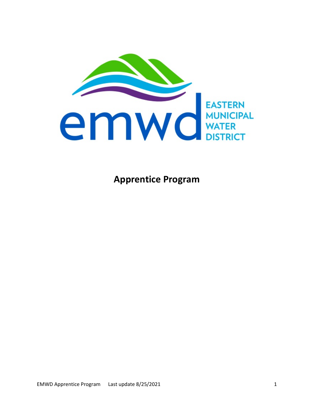

**Apprentice Program**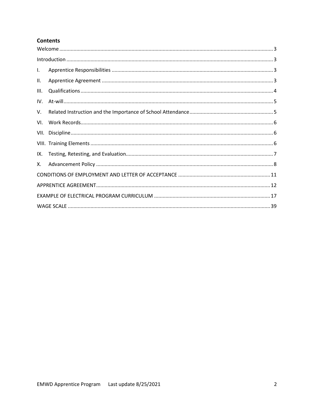# **Contents**

| L.   |  |
|------|--|
| Ш.   |  |
| III. |  |
| IV.  |  |
| V.   |  |
| VI.  |  |
| VII. |  |
|      |  |
| IX.  |  |
| Х.   |  |
|      |  |
|      |  |
|      |  |
|      |  |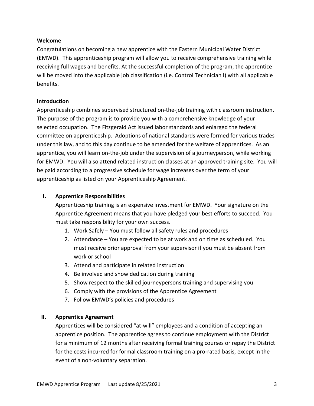#### <span id="page-2-0"></span>**Welcome**

Congratulations on becoming a new apprentice with the Eastern Municipal Water District (EMWD). This apprenticeship program will allow you to receive comprehensive training while receiving full wages and benefits. At the successful completion of the program, the apprentice will be moved into the applicable job classification (i.e. Control Technician I) with all applicable benefits.

### <span id="page-2-1"></span>**Introduction**

Apprenticeship combines supervised structured on-the-job training with classroom instruction. The purpose of the program is to provide you with a comprehensive knowledge of your selected occupation. The Fitzgerald Act issued labor standards and enlarged the federal committee on apprenticeship. Adoptions of national standards were formed for various trades under this law, and to this day continue to be amended for the welfare of apprentices. As an apprentice, you will learn on-the-job under the supervision of a journeyperson, while working for EMWD. You will also attend related instruction classes at an approved training site. You will be paid according to a progressive schedule for wage increases over the term of your apprenticeship as listed on your Apprenticeship Agreement.

#### <span id="page-2-2"></span>**I. Apprentice Responsibilities**

Apprenticeship training is an expensive investment for EMWD. Your signature on the Apprentice Agreement means that you have pledged your best efforts to succeed. You must take responsibility for your own success.

- 1. Work Safely You must follow all safety rules and procedures
- 2. Attendance You are expected to be at work and on time as scheduled. You must receive prior approval from your supervisor if you must be absent from work or school
- 3. Attend and participate in related instruction
- 4. Be involved and show dedication during training
- 5. Show respect to the skilled journeypersons training and supervising you
- 6. Comply with the provisions of the Apprentice Agreement
- 7. Follow EMWD's policies and procedures

### <span id="page-2-3"></span>**II. Apprentice Agreement**

Apprentices will be considered "at-will" employees and a condition of accepting an apprentice position. The apprentice agrees to continue employment with the District for a minimum of 12 months after receiving formal training courses or repay the District for the costs incurred for formal classroom training on a pro-rated basis, except in the event of a non-voluntary separation.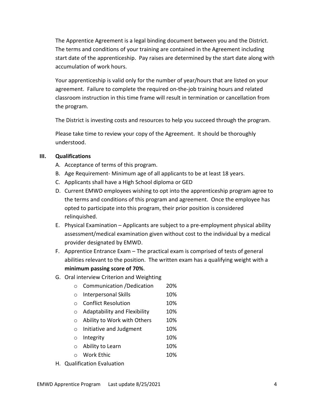The Apprentice Agreement is a legal binding document between you and the District. The terms and conditions of your training are contained in the Agreement including start date of the apprenticeship. Pay raises are determined by the start date along with accumulation of work hours.

Your apprenticeship is valid only for the number of year/hours that are listed on your agreement. Failure to complete the required on-the-job training hours and related classroom instruction in this time frame will result in termination or cancellation from the program.

The District is investing costs and resources to help you succeed through the program.

Please take time to review your copy of the Agreement. It should be thoroughly understood.

## <span id="page-3-0"></span>**III. Qualifications**

- A. Acceptance of terms of this program.
- B. Age Requirement- Minimum age of all applicants to be at least 18 years.
- C. Applicants shall have a High School diploma or GED
- D. Current EMWD employees wishing to opt into the apprenticeship program agree to the terms and conditions of this program and agreement. Once the employee has opted to participate into this program, their prior position is considered relinquished.
- E. Physical Examination Applicants are subject to a pre-employment physical ability assessment/medical examination given without cost to the individual by a medical provider designated by EMWD.
- F. Apprentice Entrance Exam The practical exam is comprised of tests of general abilities relevant to the position. The written exam has a qualifying weight with a **minimum passing score of 70%**.
- G. Oral interview Criterion and Weighting
	- o Communication /Dedication 20%
	- o Interpersonal Skills 10%
	- o Conflict Resolution 10%
	- o Adaptability and Flexibility 10%
	- o Ability to Work with Others 10%
	- o Initiative and Judgment 10%
	- o Integrity 10%
	- o Ability to Learn 10%
	- o Work Ethic 10%
- H. Qualification Evaluation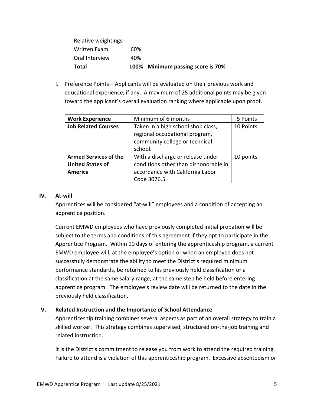| Total               |     | 100% Minimum passing score is 70% |
|---------------------|-----|-----------------------------------|
| Oral Interview      | 40% |                                   |
| Written Exam        | 60% |                                   |
| Relative weightings |     |                                   |

I. Preference Points – Applicants will be evaluated on their previous work and educational experience, if any. A maximum of 25 additional points may be given toward the applicant's overall evaluation ranking where applicable upon proof.

| <b>Work Experience</b>       | Minimum of 6 months                   | 5 Points  |
|------------------------------|---------------------------------------|-----------|
| <b>Job Related Courses</b>   | Taken in a high school shop class,    | 10 Points |
|                              | regional occupational program,        |           |
|                              | community college or technical        |           |
|                              | school.                               |           |
| <b>Armed Services of the</b> | With a discharge or release under     | 10 points |
| <b>United States of</b>      | conditions other than dishonorable in |           |
| America                      | accordance with California Labor      |           |
|                              | Code 3076.5                           |           |

#### <span id="page-4-0"></span>**IV. At-will**

Apprentices will be considered "at-will" employees and a condition of accepting an apprentice position.

Current EMWD employees who have previously completed initial probation will be subject to the terms and conditions of this agreement if they opt to participate in the Apprentice Program. Within 90 days of entering the apprenticeship program, a current EMWD employee will, at the employee's option or when an employee does not successfully demonstrate the ability to meet the District's required minimum performance standards, be returned to his previously held classification or a classification at the same salary range, at the same step he held before entering apprentice program. The employee's review date will be returned to the date in the previously held classification.

### <span id="page-4-1"></span>**V. Related Instruction and the Importance of School Attendance**

Apprenticeship training combines several aspects as part of an overall strategy to train a skilled worker. This strategy combines supervised, structured on-the-job training and related instruction.

It is the District's commitment to release you from work to attend the required training. Failure to attend is a violation of this apprenticeship program. Excessive absenteeism or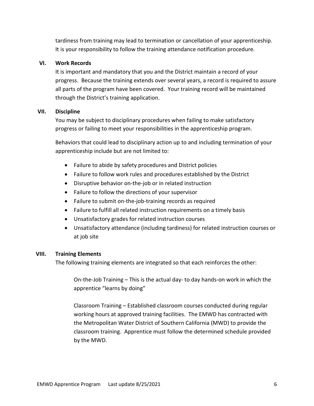tardiness from training may lead to termination or cancellation of your apprenticeship. It is your responsibility to follow the training attendance notification procedure.

#### <span id="page-5-0"></span>**VI. Work Records**

It is important and mandatory that you and the District maintain a record of your progress. Because the training extends over several years, a record is required to assure all parts of the program have been covered. Your training record will be maintained through the District's training application.

#### <span id="page-5-1"></span>**VII. Discipline**

You may be subject to disciplinary procedures when failing to make satisfactory progress or failing to meet your responsibilities in the apprenticeship program.

Behaviors that could lead to disciplinary action up to and including termination of your apprenticeship include but are not limited to:

- Failure to abide by safety procedures and District policies
- Failure to follow work rules and procedures established by the District
- Disruptive behavior on-the-job or in related instruction
- Failure to follow the directions of your supervisor
- Failure to submit on-the-job-training records as required
- Failure to fulfill all related instruction requirements on a timely basis
- Unsatisfactory grades for related instruction courses
- Unsatisfactory attendance (including tardiness) for related instruction courses or at job site

### <span id="page-5-2"></span>**VIII. Training Elements**

The following training elements are integrated so that each reinforces the other:

On-the-Job Training – This is the actual day- to day hands-on work in which the apprentice "learns by doing"

Classroom Training – Established classroom courses conducted during regular working hours at approved training facilities. The EMWD has contracted with the Metropolitan Water District of Southern California (MWD) to provide the classroom training. Apprentice must follow the determined schedule provided by the MWD.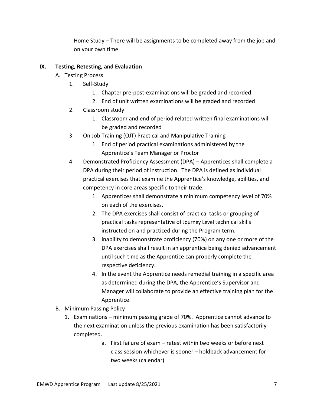Home Study – There will be assignments to be completed away from the job and on your own time

## <span id="page-6-0"></span>**IX. Testing, Retesting, and Evaluation**

- A. Testing Process
	- 1. Self-Study
		- 1. Chapter pre-post-examinations will be graded and recorded
		- 2. End of unit written examinations will be graded and recorded
	- 2. Classroom study
		- 1. Classroom and end of period related written final examinations will be graded and recorded
	- 3. On Job Training (OJT) Practical and Manipulative Training
		- 1. End of period practical examinations administered by the Apprentice's Team Manager or Proctor
	- 4. Demonstrated Proficiency Assessment (DPA) Apprentices shall complete a DPA during their period of instruction. The DPA is defined as individual practical exercises that examine the Apprentice's knowledge, abilities, and competency in core areas specific to their trade.
		- 1. Apprentices shall demonstrate a minimum competency level of 70% on each of the exercises.
		- 2. The DPA exercises shall consist of practical tasks or grouping of practical tasks representative of Journey Level technical skills instructed on and practiced during the Program term.
		- 3. Inability to demonstrate proficiency (70%) on any one or more of the DPA exercises shall result in an apprentice being denied advancement until such time as the Apprentice can properly complete the respective deficiency.
		- 4. In the event the Apprentice needs remedial training in a specific area as determined during the DPA, the Apprentice's Supervisor and Manager will collaborate to provide an effective training plan for the Apprentice.
- B. Minimum Passing Policy
	- 1. Examinations minimum passing grade of 70%. Apprentice cannot advance to the next examination unless the previous examination has been satisfactorily completed.
		- a. First failure of exam retest within two weeks or before next class session whichever is sooner – holdback advancement for two weeks (calendar)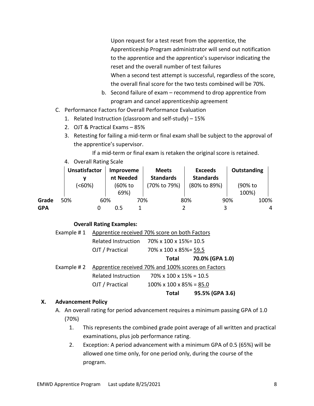Upon request for a test reset from the apprentice, the Apprenticeship Program administrator will send out notification to the apprentice and the apprentice's supervisor indicating the reset and the overall number of test failures When a second test attempt is successful, regardless of the score, the overall final score for the two tests combined will be 70%.

- b. Second failure of exam recommend to drop apprentice from program and cancel apprenticeship agreement
- C. Performance Factors for Overall Performance Evaluation
	- 1. Related Instruction (classroom and self-study) 15%
	- 2. OJT & Practical Exams 85%
	- 3. Retesting for failing a mid-term or final exam shall be subject to the approval of the apprentice's supervisor.

If a mid-term or final exam is retaken the original score is retained.

4. Overall Rating Scale

|       |     | <b>Unsatisfactor</b> | Improveme<br>nt Needed |     | <b>Meets</b><br><b>Standards</b> | <b>Exceeds</b><br><b>Standards</b> |     | Outstanding      |      |   |
|-------|-----|----------------------|------------------------|-----|----------------------------------|------------------------------------|-----|------------------|------|---|
|       |     | (<60%)               | (60% to<br>69%)        |     | (70% to 79%)                     | (80% to 89%)                       |     | (90% to<br>100%) |      |   |
| Grade | 50% |                      | 60%                    | 70% |                                  | 80%                                | 90% |                  | 100% |   |
| GPA   |     |                      | 0.5                    |     |                                  |                                    |     |                  |      | 4 |

#### **Overall Rating Examples:**

| Example #1 Apprentice received 70% score on both Factors      |                                       |                 |  |
|---------------------------------------------------------------|---------------------------------------|-----------------|--|
| Related Instruction 70% x 100 x 15%= 10.5                     |                                       |                 |  |
| OJT / Practical                                               | 70% x 100 x 85%= 59.5                 |                 |  |
|                                                               | Total                                 | 70.0% (GPA 1.0) |  |
| Example #2 Apprentice received 70% and 100% scores on Factors |                                       |                 |  |
| <b>Related Instruction</b>                                    | $70\% \times 100 \times 15\% = 10.5$  |                 |  |
| OJT / Practical                                               | $100\% \times 100 \times 85\% = 85.0$ |                 |  |
|                                                               | Total                                 | 95.5% (GPA 3.6) |  |

### <span id="page-7-0"></span>**X. Advancement Policy**

A. An overall rating for period advancement requires a minimum passing GPA of 1.0 (70%)

- 1. This represents the combined grade point average of all written and practical examinations, plus job performance rating.
- 2. Exception: A period advancement with a minimum GPA of 0.5 (65%) will be allowed one time only, for one period only, during the course of the program.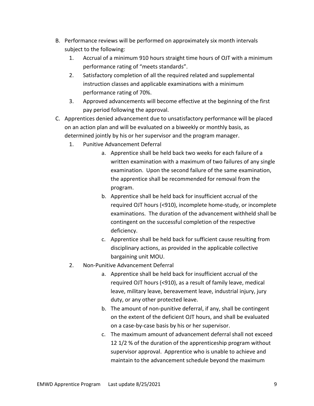- B. Performance reviews will be performed on approximately six month intervals subject to the following:
	- 1. Accrual of a minimum 910 hours straight time hours of OJT with a minimum performance rating of "meets standards".
	- 2. Satisfactory completion of all the required related and supplemental instruction classes and applicable examinations with a minimum performance rating of 70%.
	- 3. Approved advancements will become effective at the beginning of the first pay period following the approval.
- C. Apprentices denied advancement due to unsatisfactory performance will be placed on an action plan and will be evaluated on a biweekly or monthly basis, as determined jointly by his or her supervisor and the program manager.
	- 1. Punitive Advancement Deferral
		- a. Apprentice shall be held back two weeks for each failure of a written examination with a maximum of two failures of any single examination. Upon the second failure of the same examination, the apprentice shall be recommended for removal from the program.
		- b. Apprentice shall be held back for insufficient accrual of the required OJT hours (<910), incomplete home-study, or incomplete examinations. The duration of the advancement withheld shall be contingent on the successful completion of the respective deficiency.
		- c. Apprentice shall be held back for sufficient cause resulting from disciplinary actions, as provided in the applicable collective bargaining unit MOU.
	- 2. Non-Punitive Advancement Deferral
		- a. Apprentice shall be held back for insufficient accrual of the required OJT hours (<910), as a result of family leave, medical leave, military leave, bereavement leave, industrial injury, jury duty, or any other protected leave.
		- b. The amount of non-punitive deferral, if any, shall be contingent on the extent of the deficient OJT hours, and shall be evaluated on a case-by-case basis by his or her supervisor.
		- c. The maximum amount of advancement deferral shall not exceed 12 1/2 % of the duration of the apprenticeship program without supervisor approval. Apprentice who is unable to achieve and maintain to the advancement schedule beyond the maximum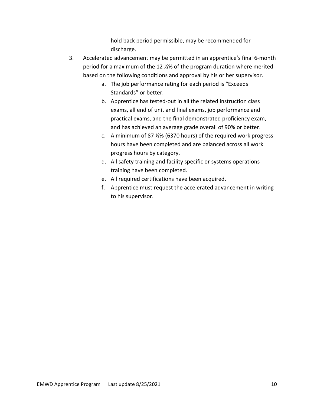hold back period permissible, may be recommended for discharge.

- 3. Accelerated advancement may be permitted in an apprentice's final 6-month period for a maximum of the 12 ½% of the program duration where merited based on the following conditions and approval by his or her supervisor.
	- a. The job performance rating for each period is "Exceeds Standards" or better.
	- b. Apprentice has tested-out in all the related instruction class exams, all end of unit and final exams, job performance and practical exams, and the final demonstrated proficiency exam, and has achieved an average grade overall of 90% or better.
	- c. A minimum of 87 ½% (6370 hours) of the required work progress hours have been completed and are balanced across all work progress hours by category.
	- d. All safety training and facility specific or systems operations training have been completed.
	- e. All required certifications have been acquired.
	- f. Apprentice must request the accelerated advancement in writing to his supervisor.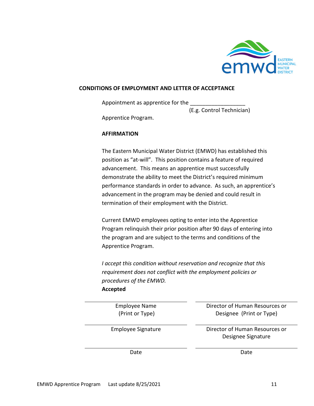

#### <span id="page-10-0"></span>**CONDITIONS OF EMPLOYMENT AND LETTER OF ACCEPTANCE**

Appointment as apprentice for the

(E.g. Control Technician)

Apprentice Program.

#### **AFFIRMATION**

The Eastern Municipal Water District (EMWD) has established this position as "at-will". This position contains a feature of required advancement. This means an apprentice must successfully demonstrate the ability to meet the District's required minimum performance standards in order to advance. As such, an apprentice's advancement in the program may be denied and could result in termination of their employment with the District.

Current EMWD employees opting to enter into the Apprentice Program relinquish their prior position after 90 days of entering into the program and are subject to the terms and conditions of the Apprentice Program.

*I accept this condition without reservation and recognize that this requirement does not conflict with the employment policies or procedures of the EMWD.* **Accepted**

| <b>Employee Name</b><br>(Print or Type) | Director of Human Resources or<br>Designee (Print or Type) |
|-----------------------------------------|------------------------------------------------------------|
| Employee Signature                      | Director of Human Resources or<br>Designee Signature       |
| Date                                    | Date                                                       |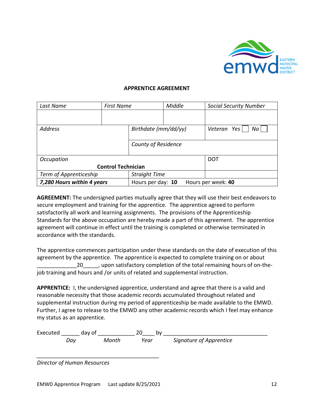

#### **APPRENTICE AGREEMENT**

<span id="page-11-0"></span>

| Last Name                  | <b>First Name</b>         |                            | Middle             | <b>Social Security Number</b> |
|----------------------------|---------------------------|----------------------------|--------------------|-------------------------------|
|                            |                           |                            |                    |                               |
| <b>Address</b>             |                           | Birthdate (mm/dd/yy)       |                    | Veteran<br>Yes  <br>No        |
|                            |                           | <b>County of Residence</b> |                    |                               |
| Occupation                 |                           |                            |                    | <b>DOT</b>                    |
|                            | <b>Control Technician</b> |                            |                    |                               |
| Term of Apprenticeship     |                           | <b>Straight Time</b>       |                    |                               |
| 7,280 Hours within 4 years | Hours per day: 10         |                            | Hours per week: 40 |                               |

**AGREEMENT:** The undersigned parties mutually agree that they will use their best endeavors to secure employment and training for the apprentice. The apprentice agreed to perform satisfactorily all work and learning assignments. The provisions of the Apprenticeship Standards for the above occupation are hereby made a part of this agreement. The apprentice agreement will continue in effect until the training is completed or otherwise terminated in accordance with the standards.

The apprentice commences participation under these standards on the date of execution of this agreement by the apprentice. The apprentice is expected to complete training on or about \_\_\_\_\_\_\_\_\_\_\_\_\_20\_\_\_\_\_, upon satisfactory completion of the total remaining hours of on-thejob training and hours and /or units of related and supplemental instruction.

**APPRENTICE:** I, the undersigned apprentice, understand and agree that there is a valid and reasonable necessity that those academic records accumulated throughout related and supplemental instruction during my period of apprenticeship be made available to the EMWD. Further, I agree to release to the EMWD any other academic records which I feel may enhance my status as an apprentice.

| Executed | dav of |       |      |                         |
|----------|--------|-------|------|-------------------------|
|          | Dav    | Month | Year | Signature of Apprentice |

*Director of Human Resources*

*\_\_\_\_\_\_\_\_\_\_\_\_\_\_\_\_\_\_\_\_\_\_\_\_\_\_\_\_\_\_\_\_\_\_\_\_\_\_\_\_*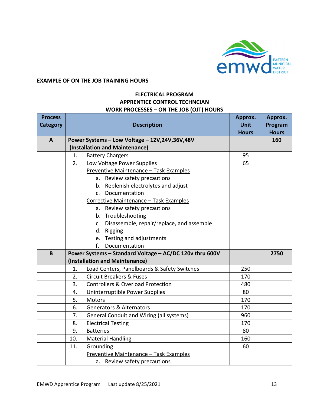

#### **EXAMPLE OF ON THE JOB TRAINING HOURS**

| <b>Process</b><br><b>Category</b> | <b>Description</b>                                      | Approx.<br><b>Unit</b><br><b>Hours</b> | Approx.<br>Program<br><b>Hours</b> |
|-----------------------------------|---------------------------------------------------------|----------------------------------------|------------------------------------|
| A                                 | Power Systems - Low Voltage - 12V,24V,36V,48V           |                                        | 160                                |
|                                   | (Installation and Maintenance)                          |                                        |                                    |
|                                   | 1.<br><b>Battery Chargers</b>                           | 95                                     |                                    |
|                                   | Low Voltage Power Supplies<br>2.                        | 65                                     |                                    |
|                                   | Preventive Maintenance - Task Examples                  |                                        |                                    |
|                                   | a. Review safety precautions                            |                                        |                                    |
|                                   | b. Replenish electrolytes and adjust                    |                                        |                                    |
|                                   | c. Documentation                                        |                                        |                                    |
|                                   | Corrective Maintenance - Task Examples                  |                                        |                                    |
|                                   | a. Review safety precautions                            |                                        |                                    |
|                                   | b. Troubleshooting                                      |                                        |                                    |
|                                   | c. Disassemble, repair/replace, and assemble            |                                        |                                    |
|                                   | d. Rigging                                              |                                        |                                    |
|                                   | e. Testing and adjustments                              |                                        |                                    |
|                                   | f.<br>Documentation                                     |                                        |                                    |
| B                                 | Power Systems - Standard Voltage - AC/DC 120v thru 600V |                                        | 2750                               |
|                                   | (Installation and Maintenance)                          |                                        |                                    |
|                                   | Load Centers, Panelboards & Safety Switches<br>1.       | 250                                    |                                    |
|                                   | <b>Circuit Breakers &amp; Fuses</b><br>2.               | 170                                    |                                    |
|                                   | <b>Controllers &amp; Overload Protection</b><br>3.      | 480                                    |                                    |
|                                   | Uninterruptible Power Supplies<br>4.                    | 80                                     |                                    |
|                                   | 5.<br><b>Motors</b>                                     | 170                                    |                                    |
|                                   | 6.<br><b>Generators &amp; Alternators</b>               | 170                                    |                                    |
|                                   | 7.<br>General Conduit and Wiring (all systems)          | 960                                    |                                    |
|                                   | <b>Electrical Testing</b><br>8.                         | 170                                    |                                    |
|                                   | 9.<br><b>Batteries</b>                                  | 80                                     |                                    |
|                                   | 10.<br><b>Material Handling</b>                         | 160                                    |                                    |
|                                   | Grounding<br>11.                                        | 60                                     |                                    |
|                                   | Preventive Maintenance - Task Examples                  |                                        |                                    |
|                                   | a. Review safety precautions                            |                                        |                                    |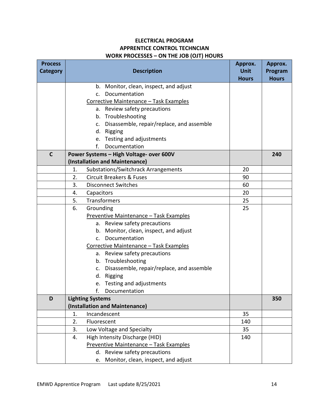| <b>Process</b><br><b>Category</b> | <b>Description</b>                              | Approx.<br><b>Unit</b><br><b>Hours</b> | Approx.<br>Program<br><b>Hours</b> |
|-----------------------------------|-------------------------------------------------|----------------------------------------|------------------------------------|
|                                   | b. Monitor, clean, inspect, and adjust          |                                        |                                    |
|                                   | c. Documentation                                |                                        |                                    |
|                                   | Corrective Maintenance - Task Examples          |                                        |                                    |
|                                   | a. Review safety precautions                    |                                        |                                    |
|                                   | b. Troubleshooting                              |                                        |                                    |
|                                   | Disassemble, repair/replace, and assemble<br>c. |                                        |                                    |
|                                   | d. Rigging                                      |                                        |                                    |
|                                   | e. Testing and adjustments                      |                                        |                                    |
|                                   | f.<br>Documentation                             |                                        |                                    |
| $\mathbf C$                       | Power Systems - High Voltage- over 600V         |                                        | 240                                |
|                                   | (Installation and Maintenance)                  |                                        |                                    |
|                                   | Substations/Switchrack Arrangements<br>1.       | 20                                     |                                    |
|                                   | 2.<br><b>Circuit Breakers &amp; Fuses</b>       | 90                                     |                                    |
|                                   | 3.<br><b>Disconnect Switches</b>                | 60                                     |                                    |
|                                   | 4.<br>Capacitors                                | 20                                     |                                    |
|                                   | Transformers<br>5.                              | 25                                     |                                    |
|                                   | 6.<br>Grounding                                 | 25                                     |                                    |
|                                   | Preventive Maintenance - Task Examples          |                                        |                                    |
|                                   | a. Review safety precautions                    |                                        |                                    |
|                                   | b. Monitor, clean, inspect, and adjust          |                                        |                                    |
|                                   | Documentation<br>C.                             |                                        |                                    |
|                                   | Corrective Maintenance - Task Examples          |                                        |                                    |
|                                   | a. Review safety precautions                    |                                        |                                    |
|                                   | b. Troubleshooting                              |                                        |                                    |
|                                   | Disassemble, repair/replace, and assemble<br>c. |                                        |                                    |
|                                   | d. Rigging                                      |                                        |                                    |
|                                   | e. Testing and adjustments                      |                                        |                                    |
|                                   | Documentation                                   |                                        |                                    |
| D                                 | <b>Lighting Systems</b>                         |                                        | 350                                |
|                                   | (Installation and Maintenance)                  |                                        |                                    |
|                                   | Incandescent<br>1.                              | 35                                     |                                    |
|                                   | 2.<br>Fluorescent                               | 140                                    |                                    |
|                                   | Low Voltage and Specialty<br>3.                 | 35                                     |                                    |
|                                   | High Intensity Discharge (HID)<br>4.            | 140                                    |                                    |
|                                   | Preventive Maintenance - Task Examples          |                                        |                                    |
|                                   | d. Review safety precautions                    |                                        |                                    |
|                                   | e. Monitor, clean, inspect, and adjust          |                                        |                                    |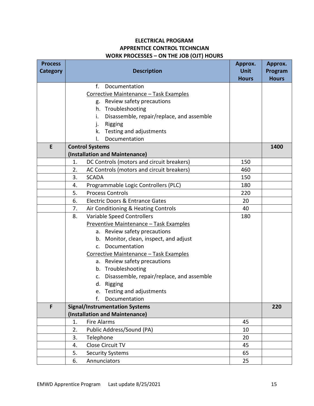| <b>Process</b><br><b>Category</b> | <b>Description</b>                                       | Approx.<br><b>Unit</b> | Approx.<br>Program |
|-----------------------------------|----------------------------------------------------------|------------------------|--------------------|
|                                   |                                                          | <b>Hours</b>           | <b>Hours</b>       |
|                                   | f.<br>Documentation                                      |                        |                    |
|                                   | Corrective Maintenance - Task Examples                   |                        |                    |
|                                   | g. Review safety precautions                             |                        |                    |
|                                   | h. Troubleshooting                                       |                        |                    |
|                                   | Disassemble, repair/replace, and assemble<br>i.          |                        |                    |
|                                   | j.<br>Rigging                                            |                        |                    |
|                                   | Testing and adjustments<br>k.                            |                        |                    |
| E                                 | Documentation<br>I.                                      |                        |                    |
|                                   | <b>Control Systems</b><br>(Installation and Maintenance) |                        | 1400               |
|                                   | DC Controls (motors and circuit breakers)<br>1.          | 150                    |                    |
|                                   | 2.<br>AC Controls (motors and circuit breakers)          | 460                    |                    |
|                                   | 3.<br><b>SCADA</b>                                       | 150                    |                    |
|                                   | Programmable Logic Controllers (PLC)<br>4.               | 180                    |                    |
|                                   | 5.<br><b>Process Controls</b>                            | 220                    |                    |
|                                   | 6.<br>Electric Doors & Entrance Gates                    | 20                     |                    |
|                                   | 7.<br>Air Conditioning & Heating Controls                | 40                     |                    |
|                                   | Variable Speed Controllers<br>8.                         | 180                    |                    |
|                                   | Preventive Maintenance - Task Examples                   |                        |                    |
|                                   | a. Review safety precautions                             |                        |                    |
|                                   | b. Monitor, clean, inspect, and adjust                   |                        |                    |
|                                   | Documentation<br>$\mathsf{C}$ .                          |                        |                    |
|                                   | Corrective Maintenance - Task Examples                   |                        |                    |
|                                   | a. Review safety precautions                             |                        |                    |
|                                   | b. Troubleshooting                                       |                        |                    |
|                                   | Disassemble, repair/replace, and assemble<br>c.          |                        |                    |
|                                   | d. Rigging                                               |                        |                    |
|                                   | e. Testing and adjustments                               |                        |                    |
|                                   | f.<br>Documentation                                      |                        |                    |
| F                                 | <b>Signal/Instrumentation Systems</b>                    |                        | 220                |
|                                   | (Installation and Maintenance)                           |                        |                    |
|                                   | 1.<br><b>Fire Alarms</b>                                 | 45                     |                    |
|                                   | Public Address/Sound (PA)<br>2.                          | 10                     |                    |
|                                   | 3.<br>Telephone                                          | 20                     |                    |
|                                   | Close Circuit TV<br>4.                                   | 45                     |                    |
|                                   | 5.<br><b>Security Systems</b>                            | 65                     |                    |
|                                   | 6.<br>Annunciators                                       | 25                     |                    |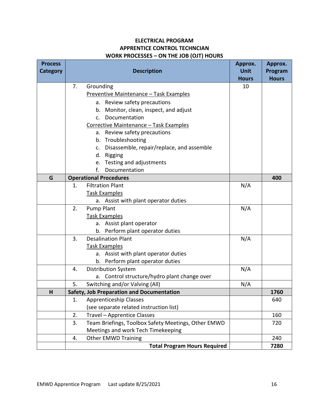| <b>Process</b><br>Category | <b>Description</b>                                                                       | Approx.<br><b>Unit</b> | Approx.<br>Program<br><b>Hours</b> |
|----------------------------|------------------------------------------------------------------------------------------|------------------------|------------------------------------|
|                            | Grounding<br>7.                                                                          | <b>Hours</b><br>10     |                                    |
|                            | Preventive Maintenance - Task Examples                                                   |                        |                                    |
|                            | a. Review safety precautions                                                             |                        |                                    |
|                            | b. Monitor, clean, inspect, and adjust                                                   |                        |                                    |
|                            | Documentation<br>$\mathsf{C}$ .                                                          |                        |                                    |
|                            | Corrective Maintenance - Task Examples                                                   |                        |                                    |
|                            | a. Review safety precautions                                                             |                        |                                    |
|                            | b. Troubleshooting                                                                       |                        |                                    |
|                            | Disassemble, repair/replace, and assemble<br>C.                                          |                        |                                    |
|                            | d. Rigging                                                                               |                        |                                    |
|                            | e. Testing and adjustments                                                               |                        |                                    |
|                            | f.<br>Documentation                                                                      |                        |                                    |
| G                          | <b>Operational Procedures</b>                                                            |                        | 400                                |
|                            | <b>Filtration Plant</b><br>$\mathbf{1}$ .                                                | N/A                    |                                    |
|                            | <b>Task Examples</b>                                                                     |                        |                                    |
|                            | a. Assist with plant operator duties                                                     |                        |                                    |
|                            | <b>Pump Plant</b><br>2.                                                                  | N/A                    |                                    |
|                            | <b>Task Examples</b>                                                                     |                        |                                    |
|                            | a. Assist plant operator                                                                 |                        |                                    |
|                            | b. Perform plant operator duties                                                         |                        |                                    |
|                            | <b>Desalination Plant</b><br>3.                                                          | N/A                    |                                    |
|                            | <b>Task Examples</b>                                                                     |                        |                                    |
|                            | a. Assist with plant operator duties                                                     |                        |                                    |
|                            | b. Perform plant operator duties                                                         |                        |                                    |
|                            | <b>Distribution System</b><br>4.                                                         | N/A                    |                                    |
|                            | a. Control structure/hydro plant change over                                             |                        |                                    |
|                            | 5.<br>Switching and/or Valving (All)                                                     | N/A                    |                                    |
| н                          | Safety, Job Preparation and Documentation                                                |                        | 1760                               |
|                            | <b>Apprenticeship Classes</b><br>1.                                                      |                        | 640                                |
|                            | (see separate related instruction list)<br>2.                                            |                        | 160                                |
|                            | Travel - Apprentice Classes<br>Team Briefings, Toolbox Safety Meetings, Other EMWD<br>3. |                        | 720                                |
|                            | Meetings and work Tech Timekeeping                                                       |                        |                                    |
|                            | <b>Other EMWD Training</b><br>4.                                                         |                        | 240                                |
|                            | <b>Total Program Hours Required</b>                                                      |                        | 7280                               |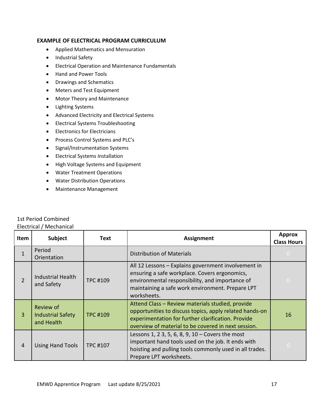#### <span id="page-16-0"></span>**EXAMPLE OF ELECTRICAL PROGRAM CURRICULUM**

- Applied Mathematics and Mensuration
- Industrial Safety
- Electrical Operation and Maintenance Fundamentals
- Hand and Power Tools
- Drawings and Schematics
- Meters and Test Equipment
- Motor Theory and Maintenance
- Lighting Systems
- Advanced Electricity and Electrical Systems
- Electrical Systems Troubleshooting
- Electronics for Electricians
- Process Control Systems and PLC's
- Signal/Instrumentation Systems
- Electrical Systems Installation
- High Voltage Systems and Equipment
- Water Treatment Operations
- Water Distribution Operations
- Maintenance Management

|                | LICCUTCAL / TVICCITATIICAL                                 |                 |                                                                                                                                                                                                                            |                                     |  |
|----------------|------------------------------------------------------------|-----------------|----------------------------------------------------------------------------------------------------------------------------------------------------------------------------------------------------------------------------|-------------------------------------|--|
| Item           | Subject                                                    | Text            | <b>Assignment</b>                                                                                                                                                                                                          | <b>Approx</b><br><b>Class Hours</b> |  |
| 1              | Period<br>Orientation                                      |                 | <b>Distribution of Materials</b>                                                                                                                                                                                           | $\Omega$                            |  |
| $\overline{2}$ | <b>Industrial Health</b><br>and Safety                     | <b>TPC #109</b> | All 12 Lessons - Explains government involvement in<br>ensuring a safe workplace. Covers ergonomics,<br>environmental responsibility, and importance of<br>maintaining a safe work environment. Prepare LPT<br>worksheets. | $\overline{O}$                      |  |
| $\overline{3}$ | <b>Review of</b><br><b>Industrial Safety</b><br>and Health | <b>TPC #109</b> | Attend Class - Review materials studied, provide<br>opportunities to discuss topics, apply related hands-on<br>experimentation for further clarification. Provide<br>overview of material to be covered in next session.   | 16                                  |  |
| $\overline{4}$ | <b>Using Hand Tools</b>                                    | <b>TPC #107</b> | Lessons 1, 2 3, 5, 6, 8, 9, 10 - Covers the most<br>important hand tools used on the job. It ends with<br>hoisting and pulling tools commonly used in all trades.<br>Prepare LPT worksheets.                               | $\overline{0}$                      |  |

## 1st Period Combined

Electrical / Mechanical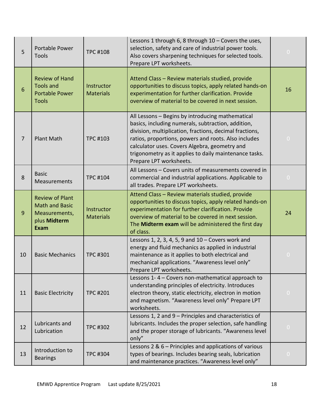| 5              | Portable Power<br>Tools                                                                         | <b>TPC #108</b>                | Lessons 1 through 6, 8 through 10 - Covers the uses,<br>selection, safety and care of industrial power tools.<br>Also covers sharpening techniques for selected tools.<br>Prepare LPT worksheets.                                                                                                                                                               | $\overline{O}$ |
|----------------|-------------------------------------------------------------------------------------------------|--------------------------------|-----------------------------------------------------------------------------------------------------------------------------------------------------------------------------------------------------------------------------------------------------------------------------------------------------------------------------------------------------------------|----------------|
| $6\phantom{1}$ | <b>Review of Hand</b><br><b>Tools and</b><br><b>Portable Power</b><br><b>Tools</b>              | Instructor<br><b>Materials</b> | Attend Class - Review materials studied, provide<br>opportunities to discuss topics, apply related hands-on<br>experimentation for further clarification. Provide<br>overview of material to be covered in next session.                                                                                                                                        | 16             |
| $\overline{7}$ | <b>Plant Math</b>                                                                               | <b>TPC #103</b>                | All Lessons - Begins by introducing mathematical<br>basics, including numerals, subtraction, addition,<br>division, multiplication, fractions, decimal fractions,<br>ratios, proportions, powers and roots. Also includes<br>calculator uses. Covers Algebra, geometry and<br>trigonometry as it applies to daily maintenance tasks.<br>Prepare LPT worksheets. | $\overline{O}$ |
| 8              | <b>Basic</b><br><b>Measurements</b>                                                             | <b>TPC #104</b>                | All Lessons - Covers units of measurements covered in<br>commercial and industrial applications. Applicable to<br>all trades. Prepare LPT worksheets.                                                                                                                                                                                                           | $\overline{O}$ |
| 9              | <b>Review of Plant</b><br><b>Math and Basic</b><br>Measurements,<br>plus Midterm<br><b>Exam</b> | Instructor<br><b>Materials</b> | Attend Class - Review materials studied, provide<br>opportunities to discuss topics, apply related hands-on<br>experimentation for further clarification. Provide<br>overview of material to be covered in next session.<br>The Midterm exam will be administered the first day<br>of class.                                                                    | 24             |
| 10             | <b>Basic Mechanics</b>                                                                          | <b>TPC #301</b>                | Lessons 1, 2, 3, 4, 5, 9 and $10$ – Covers work and<br>energy and fluid mechanics as applied in industrial<br>maintenance as it applies to both electrical and<br>mechanical applications. "Awareness level only"<br>Prepare LPT worksheets.                                                                                                                    | $\overline{O}$ |
| 11             | <b>Basic Electricity</b>                                                                        | <b>TPC #201</b>                | Lessons 1-4 - Covers non-mathematical approach to<br>understanding principles of electricity. Introduces<br>electron theory, static electricity, electron in motion<br>and magnetism. "Awareness level only" Prepare LPT<br>worksheets.                                                                                                                         | $\overline{O}$ |
| 12             | Lubricants and<br>Lubrication                                                                   | <b>TPC #302</b>                | Lessons 1, 2 and 9 - Principles and characteristics of<br>lubricants. Includes the proper selection, safe handling<br>and the proper storage of lubricants. "Awareness level<br>only"                                                                                                                                                                           | $\overline{O}$ |
| 13             | Introduction to<br><b>Bearings</b>                                                              | <b>TPC #304</b>                | Lessons 2 & 6 - Principles and applications of various<br>types of bearings. Includes bearing seals, lubrication<br>and maintenance practices. "Awareness level only"                                                                                                                                                                                           | $\overline{O}$ |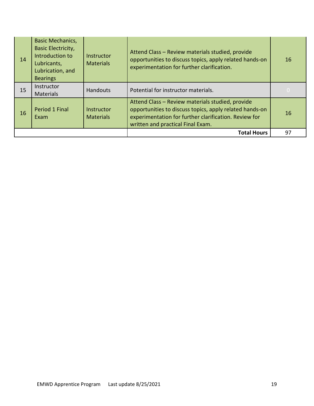| 14 | <b>Basic Mechanics,</b><br><b>Basic Electricity,</b><br>Introduction to<br>Lubricants,<br>Lubrication, and<br><b>Bearings</b> | Instructor<br><b>Materials</b> | Attend Class - Review materials studied, provide<br>opportunities to discuss topics, apply related hands-on<br>experimentation for further clarification.                                                 | 16             |
|----|-------------------------------------------------------------------------------------------------------------------------------|--------------------------------|-----------------------------------------------------------------------------------------------------------------------------------------------------------------------------------------------------------|----------------|
| 15 | Instructor<br><b>Materials</b>                                                                                                | <b>Handouts</b>                | Potential for instructor materials.                                                                                                                                                                       | $\overline{0}$ |
| 16 | Period 1 Final<br>Exam                                                                                                        | Instructor<br><b>Materials</b> | Attend Class - Review materials studied, provide<br>opportunities to discuss topics, apply related hands-on<br>experimentation for further clarification. Review for<br>written and practical Final Exam. | 16             |
|    |                                                                                                                               |                                | <b>Total Hours</b>                                                                                                                                                                                        | 97             |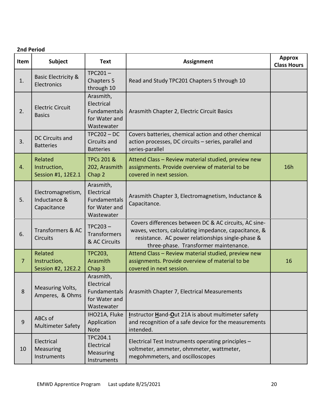## **2nd Period**

| <b>Item</b>    | <b>Subject</b>                                   | <b>Text</b>                                                            | <b>Assignment</b>                                                                                                                                                                                            | <b>Approx</b><br><b>Class Hours</b> |
|----------------|--------------------------------------------------|------------------------------------------------------------------------|--------------------------------------------------------------------------------------------------------------------------------------------------------------------------------------------------------------|-------------------------------------|
| 1.             | <b>Basic Electricity &amp;</b><br>Electronics    | $TPC201-$<br>Chapters 5<br>through 10                                  | Read and Study TPC201 Chapters 5 through 10                                                                                                                                                                  |                                     |
| 2.             | <b>Electric Circuit</b><br><b>Basics</b>         | Arasmith,<br>Electrical<br>Fundamentals<br>for Water and<br>Wastewater | Arasmith Chapter 2, Electric Circuit Basics                                                                                                                                                                  |                                     |
| 3.             | <b>DC Circuits and</b><br><b>Batteries</b>       | $TPC202 - DC$<br>Circuits and<br><b>Batteries</b>                      | Covers batteries, chemical action and other chemical<br>action processes, DC circuits - series, parallel and<br>series-parallel                                                                              |                                     |
| 4.             | Related<br>Instruction,<br>Session #1, 12E2.1    | <b>TPCs 201 &amp;</b><br>202, Arasmith<br>Chap 2                       | Attend Class - Review material studied, preview new<br>assignments. Provide overview of material to be<br>covered in next session.                                                                           | 16h                                 |
| 5.             | Electromagnetism,<br>Inductance &<br>Capacitance | Arasmith,<br>Electrical<br>Fundamentals<br>for Water and<br>Wastewater | Arasmith Chapter 3, Electromagnetism, Inductance &<br>Capacitance.                                                                                                                                           |                                     |
| 6.             | Transformers & AC<br><b>Circuits</b>             | $TPC203-$<br>Transformers<br>& AC Circuits                             | Covers differences between DC & AC circuits, AC sine-<br>waves, vectors, calculating impedance, capacitance, &<br>resistance. AC power relationships single-phase &<br>three-phase. Transformer maintenance. |                                     |
| $\overline{7}$ | Related<br>Instruction,<br>Session #2, 12E2.2    | <b>TPC203,</b><br>Arasmith<br>Chap <sub>3</sub>                        | Attend Class - Review material studied, preview new<br>assignments. Provide overview of material to be<br>covered in next session.                                                                           | 16                                  |
| $\,8$          | Measuring Volts,<br>Amperes, & Ohms              | Arasmith,<br>Electrical<br>Fundamentals<br>for Water and<br>Wastewater | Arasmith Chapter 7, Electrical Measurements                                                                                                                                                                  |                                     |
| $\overline{9}$ | ABCs of<br><b>Multimeter Safety</b>              | IHO21A, Fluke<br>Application<br><b>Note</b>                            | Instructor Hand-Out 21A is about multimeter safety<br>and recognition of a safe device for the measurements<br>intended.                                                                                     |                                     |
| 10             | Electrical<br>Measuring<br>Instruments           | TPC204.1<br>Electrical<br>Measuring<br>Instruments                     | Electrical Test Instruments operating principles -<br>voltmeter, ammeter, ohmmeter, wattmeter,<br>megohmmeters, and oscilloscopes                                                                            |                                     |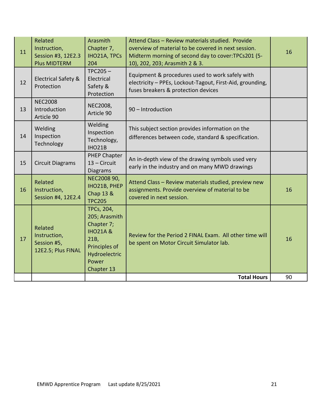| 11 | Related<br>Instruction,<br>Session #3, 12E2.3<br><b>Plus MIDTERM</b> | Arasmith<br>Chapter 7,<br><b>IHO21A, TPCs</b><br>204                                                                              | Attend Class - Review materials studied. Provide<br>overview of material to be covered in next session.<br>Midterm morning of second day to cover: TPCs201 (5-<br>10), 202, 203; Arasmith 2 & 3. | 16 |
|----|----------------------------------------------------------------------|-----------------------------------------------------------------------------------------------------------------------------------|--------------------------------------------------------------------------------------------------------------------------------------------------------------------------------------------------|----|
| 12 | Electrical Safety &<br>Protection                                    | $TPC205-$<br>Electrical<br>Safety &<br>Protection                                                                                 | Equipment & procedures used to work safely with<br>electricity - PPEs, Lockout-Tagout, First-Aid, grounding,<br>fuses breakers & protection devices                                              |    |
| 13 | <b>NEC2008</b><br>Introduction<br>Article 90                         | <b>NEC2008,</b><br>Article 90                                                                                                     | 90 - Introduction                                                                                                                                                                                |    |
| 14 | Welding<br>Inspection<br>Technology                                  | Welding<br>Inspection<br>Technology,<br>IHO21B                                                                                    | This subject section provides information on the<br>differences between code, standard & specification.                                                                                          |    |
| 15 | <b>Circuit Diagrams</b>                                              | <b>PHEP Chapter</b><br>$13$ – Circuit<br><b>Diagrams</b>                                                                          | An in-depth view of the drawing symbols used very<br>early in the industry and on many MWD drawings                                                                                              |    |
| 16 | Related<br>Instruction,<br>Session #4, 12E2.4                        | NEC2008 90,<br><b>IHO21B, PHEP</b><br>Chap 13 &<br><b>TPC205</b>                                                                  | Attend Class - Review materials studied, preview new<br>assignments. Provide overview of material to be<br>covered in next session.                                                              | 16 |
| 17 | Related<br>Instruction,<br>Session #5,<br>12E2.5; Plus FINAL         | TPCs, 204,<br>205; Arasmith<br>Chapter 7;<br><b>IHO21A &amp;</b><br>21B,<br>Principles of<br>Hydroelectric<br>Power<br>Chapter 13 | Review for the Period 2 FINAL Exam. All other time will<br>be spent on Motor Circuit Simulator lab.                                                                                              | 16 |
|    |                                                                      |                                                                                                                                   | <b>Total Hours</b>                                                                                                                                                                               | 90 |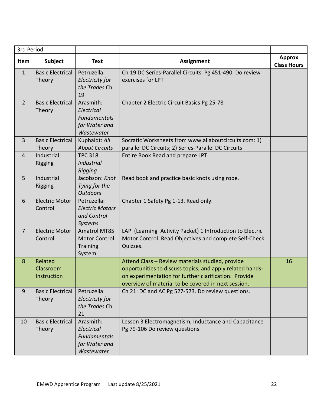| 3rd Period     |                                     |                                                                               |                                                                                                                                                                                                                               |                                     |
|----------------|-------------------------------------|-------------------------------------------------------------------------------|-------------------------------------------------------------------------------------------------------------------------------------------------------------------------------------------------------------------------------|-------------------------------------|
| Item           | <b>Subject</b>                      | <b>Text</b>                                                                   | <b>Assignment</b>                                                                                                                                                                                                             | <b>Approx</b><br><b>Class Hours</b> |
| $\mathbf{1}$   | <b>Basic Electrical</b><br>Theory   | Petruzella:<br>Electricity for<br>the Trades Ch<br>19                         | Ch 19 DC Series-Parallel Circuits. Pg 451-490. Do review<br>exercises for LPT                                                                                                                                                 |                                     |
| $\overline{2}$ | <b>Basic Electrical</b><br>Theory   | Arasmith:<br>Electrical<br><b>Fundamentals</b><br>for Water and<br>Wastewater | Chapter 2 Electric Circuit Basics Pg 25-78                                                                                                                                                                                    |                                     |
| $\overline{3}$ | <b>Basic Electrical</b><br>Theory   | Kuphaldt: All<br><b>About Circuits</b>                                        | Socratic Worksheets from www.allaboutcircuits.com: 1)<br>parallel DC Circuits; 2) Series-Parallel DC Circuits                                                                                                                 |                                     |
| $\overline{4}$ | Industrial<br>Rigging               | <b>TPC 318</b><br><b>Industrial</b><br>Rigging                                | Entire Book Read and prepare LPT                                                                                                                                                                                              |                                     |
| 5              | Industrial<br>Rigging               | Jacobson: Knot<br>Tying for the<br><b>Outdoors</b>                            | Read book and practice basic knots using rope.                                                                                                                                                                                |                                     |
| 6              | <b>Electric Motor</b><br>Control    | Petruzella:<br><b>Electric Motors</b><br>and Control<br><b>Systems</b>        | Chapter 1 Safety Pg 1-13. Read only.                                                                                                                                                                                          |                                     |
| $\overline{7}$ | <b>Electric Motor</b><br>Control    | <b>Amatrol MT85</b><br><b>Motor Control</b><br><b>Training</b><br>System      | LAP (Learning Activity Packet) 1 Introduction to Electric<br>Motor Control. Read Objectives and complete Self-Check<br>Quizzes.                                                                                               |                                     |
| 8              | Related<br>Classroom<br>Instruction |                                                                               | Attend Class - Review materials studied, provide<br>opportunities to discuss topics, and apply related hands-<br>on experimentation for further clarification. Provide<br>overview of material to be covered in next session. | 16                                  |
| 9              | <b>Basic Electrical</b><br>Theory   | Petruzella:<br>Electricity for<br>the Trades Ch<br>21                         | Ch 21: DC and AC Pg 527-573. Do review questions.                                                                                                                                                                             |                                     |
| 10             | <b>Basic Electrical</b><br>Theory   | Arasmith:<br>Electrical<br><b>Fundamentals</b><br>for Water and<br>Wastewater | Lesson 3 Electromagnetism, Inductance and Capacitance<br>Pg 79-106 Do review questions                                                                                                                                        |                                     |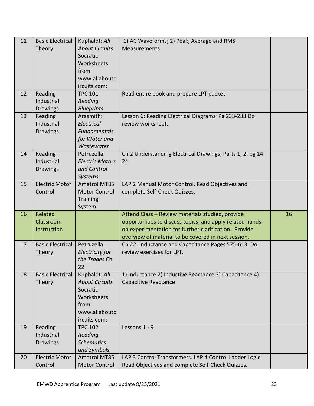| 11 | <b>Basic Electrical</b>          | Kuphaldt: All                               | 1) AC Waveforms; 2) Peak, Average and RMS                                                                   |    |
|----|----------------------------------|---------------------------------------------|-------------------------------------------------------------------------------------------------------------|----|
|    | Theory                           | <b>About Circuits</b>                       | Measurements                                                                                                |    |
|    |                                  | Socratic                                    |                                                                                                             |    |
|    |                                  | Worksheets                                  |                                                                                                             |    |
|    |                                  | from                                        |                                                                                                             |    |
|    |                                  | www.allaboutc                               |                                                                                                             |    |
|    |                                  | ircuits.com:                                |                                                                                                             |    |
| 12 | Reading                          | <b>TPC 101</b>                              | Read entire book and prepare LPT packet                                                                     |    |
|    | Industrial                       | Reading                                     |                                                                                                             |    |
|    | <b>Drawings</b>                  | <b>Blueprints</b>                           |                                                                                                             |    |
| 13 | Reading                          | Arasmith:                                   | Lesson 6: Reading Electrical Diagrams Pg 233-283 Do                                                         |    |
|    | Industrial                       | Electrical                                  | review worksheet.                                                                                           |    |
|    | <b>Drawings</b>                  | <b>Fundamentals</b>                         |                                                                                                             |    |
|    |                                  | for Water and                               |                                                                                                             |    |
|    |                                  | Wastewater                                  |                                                                                                             |    |
| 14 | Reading                          | Petruzella:                                 | Ch 2 Understanding Electrical Drawings, Parts 1, 2: pg 14 -                                                 |    |
|    | Industrial                       | <b>Electric Motors</b>                      | 24                                                                                                          |    |
|    | <b>Drawings</b>                  | and Control                                 |                                                                                                             |    |
|    |                                  | Systems                                     |                                                                                                             |    |
| 15 | <b>Electric Motor</b>            | <b>Amatrol MT85</b>                         | LAP 2 Manual Motor Control. Read Objectives and                                                             |    |
|    | Control                          | <b>Motor Control</b>                        | complete Self-Check Quizzes.                                                                                |    |
|    |                                  | <b>Training</b>                             |                                                                                                             |    |
|    |                                  | System                                      |                                                                                                             |    |
| 16 | Related                          |                                             | Attend Class - Review materials studied, provide                                                            | 16 |
|    | Classroom                        |                                             | opportunities to discuss topics, and apply related hands-                                                   |    |
|    | Instruction                      |                                             | on experimentation for further clarification. Provide                                                       |    |
|    |                                  |                                             | overview of material to be covered in next session.                                                         |    |
| 17 | <b>Basic Electrical</b>          | Petruzella:                                 | Ch 22: Inductance and Capacitance Pages 575-613. Do                                                         |    |
|    | Theory                           | Electricity for                             | review exercises for LPT.                                                                                   |    |
|    |                                  | the Trades Ch                               |                                                                                                             |    |
|    |                                  | 22                                          |                                                                                                             |    |
| 18 | <b>Basic Electrical</b>          | Kuphaldt: All                               | 1) Inductance 2) Inductive Reactance 3) Capacitance 4)                                                      |    |
|    | Theory                           | <b>About Circuits</b>                       | Capacitive Reactance                                                                                        |    |
|    |                                  | Socratic                                    |                                                                                                             |    |
|    |                                  | Worksheets                                  |                                                                                                             |    |
|    |                                  | from                                        |                                                                                                             |    |
|    |                                  | www.allaboutc                               |                                                                                                             |    |
|    |                                  | ircuits.com:                                |                                                                                                             |    |
| 19 | Reading                          | <b>TPC 102</b>                              | Lessons 1 - 9                                                                                               |    |
|    | Industrial                       | Reading                                     |                                                                                                             |    |
|    | <b>Drawings</b>                  | <b>Schematics</b>                           |                                                                                                             |    |
|    |                                  |                                             |                                                                                                             |    |
|    |                                  | and Symbols                                 |                                                                                                             |    |
| 20 | <b>Electric Motor</b><br>Control | <b>Amatrol MT85</b><br><b>Motor Control</b> | LAP 3 Control Transformers. LAP 4 Control Ladder Logic.<br>Read Objectives and complete Self-Check Quizzes. |    |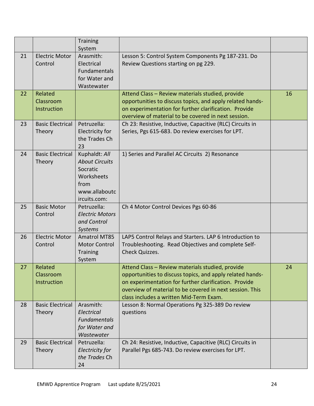|    |                                     | <b>Training</b><br>System                                                                                 |                                                                                                                                                                                                                                                                               |    |
|----|-------------------------------------|-----------------------------------------------------------------------------------------------------------|-------------------------------------------------------------------------------------------------------------------------------------------------------------------------------------------------------------------------------------------------------------------------------|----|
| 21 | <b>Electric Motor</b><br>Control    | Arasmith:<br>Electrical<br>Fundamentals<br>for Water and<br>Wastewater                                    | Lesson 5: Control System Components Pg 187-231. Do<br>Review Questions starting on pg 229.                                                                                                                                                                                    |    |
| 22 | Related<br>Classroom<br>Instruction |                                                                                                           | Attend Class - Review materials studied, provide<br>opportunities to discuss topics, and apply related hands-<br>on experimentation for further clarification. Provide<br>overview of material to be covered in next session.                                                 | 16 |
| 23 | <b>Basic Electrical</b><br>Theory   | Petruzella:<br><b>Electricity for</b><br>the Trades Ch<br>23                                              | Ch 23: Resistive, Inductive, Capacitive (RLC) Circuits in<br>Series, Pgs 615-683. Do review exercises for LPT.                                                                                                                                                                |    |
| 24 | <b>Basic Electrical</b><br>Theory   | Kuphaldt: All<br><b>About Circuits</b><br>Socratic<br>Worksheets<br>from<br>www.allaboutc<br>ircuits.com: | 1) Series and Parallel AC Circuits 2) Resonance                                                                                                                                                                                                                               |    |
| 25 | <b>Basic Motor</b><br>Control       | Petruzella:<br><b>Electric Motors</b><br>and Control<br>Systems                                           | Ch 4 Motor Control Devices Pgs 60-86                                                                                                                                                                                                                                          |    |
| 26 | <b>Electric Motor</b><br>Control    | <b>Amatrol MT85</b><br><b>Motor Control</b><br><b>Training</b><br>System                                  | LAP5 Control Relays and Starters. LAP 6 Introduction to<br>Troubleshooting. Read Objectives and complete Self-<br>Check Quizzes.                                                                                                                                              |    |
| 27 | Related<br>Classroom<br>Instruction |                                                                                                           | Attend Class - Review materials studied, provide<br>opportunities to discuss topics, and apply related hands-<br>on experimentation for further clarification. Provide<br>overview of material to be covered in next session. This<br>class includes a written Mid-Term Exam. | 24 |
| 28 | <b>Basic Electrical</b><br>Theory   | Arasmith:<br>Electrical<br><b>Fundamentals</b><br>for Water and<br>Wastewater                             | Lesson 8: Normal Operations Pg 325-389 Do review<br>questions                                                                                                                                                                                                                 |    |
| 29 | <b>Basic Electrical</b><br>Theory   | Petruzella:<br>Electricity for<br>the Trades Ch<br>24                                                     | Ch 24: Resistive, Inductive, Capacitive (RLC) Circuits in<br>Parallel Pgs 685-743. Do review exercises for LPT.                                                                                                                                                               |    |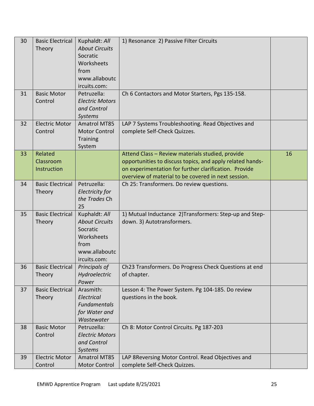| 30 | <b>Basic Electrical</b><br>Theory   | Kuphaldt: All<br><b>About Circuits</b><br>Socratic<br>Worksheets<br>from<br>www.allaboutc<br>ircuits.com: | 1) Resonance 2) Passive Filter Circuits                                                                                                                                                                                       |    |
|----|-------------------------------------|-----------------------------------------------------------------------------------------------------------|-------------------------------------------------------------------------------------------------------------------------------------------------------------------------------------------------------------------------------|----|
| 31 | <b>Basic Motor</b><br>Control       | Petruzella:<br><b>Electric Motors</b><br>and Control<br>Systems                                           | Ch 6 Contactors and Motor Starters, Pgs 135-158.                                                                                                                                                                              |    |
| 32 | <b>Electric Motor</b><br>Control    | <b>Amatrol MT85</b><br><b>Motor Control</b><br><b>Training</b><br>System                                  | LAP 7 Systems Troubleshooting. Read Objectives and<br>complete Self-Check Quizzes.                                                                                                                                            |    |
| 33 | Related<br>Classroom<br>Instruction |                                                                                                           | Attend Class - Review materials studied, provide<br>opportunities to discuss topics, and apply related hands-<br>on experimentation for further clarification. Provide<br>overview of material to be covered in next session. | 16 |
| 34 | <b>Basic Electrical</b><br>Theory   | Petruzella:<br>Electricity for<br>the Trades Ch<br>25                                                     | Ch 25: Transformers. Do review questions.                                                                                                                                                                                     |    |
| 35 | <b>Basic Electrical</b><br>Theory   | Kuphaldt: All<br><b>About Circuits</b><br>Socratic<br>Worksheets<br>from<br>www.allaboutc<br>ircuits.com: | 1) Mutual Inductance 2) Transformers: Step-up and Step-<br>down. 3) Autotransformers.                                                                                                                                         |    |
| 36 | <b>Basic Electrical</b><br>Theory   | Principals of<br>Hydroelectric<br>Power                                                                   | Ch23 Transformers. Do Progress Check Questions at end<br>of chapter.                                                                                                                                                          |    |
| 37 | <b>Basic Electrical</b><br>Theory   | Arasmith:<br>Electrical<br><b>Fundamentals</b><br>for Water and<br>Wastewater                             | Lesson 4: The Power System. Pg 104-185. Do review<br>questions in the book.                                                                                                                                                   |    |
| 38 | <b>Basic Motor</b><br>Control       | Petruzella:<br><b>Electric Motors</b><br>and Control<br><b>Systems</b>                                    | Ch 8: Motor Control Circuits. Pg 187-203                                                                                                                                                                                      |    |
| 39 | <b>Electric Motor</b><br>Control    | <b>Amatrol MT85</b><br><b>Motor Control</b>                                                               | LAP 8Reversing Motor Control. Read Objectives and<br>complete Self-Check Quizzes.                                                                                                                                             |    |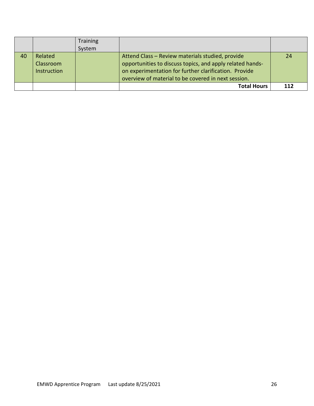|    |                                     | <b>Training</b> |                                                                                                                                                                                                                               |     |
|----|-------------------------------------|-----------------|-------------------------------------------------------------------------------------------------------------------------------------------------------------------------------------------------------------------------------|-----|
|    |                                     | System          |                                                                                                                                                                                                                               |     |
| 40 | Related<br>Classroom<br>Instruction |                 | Attend Class - Review materials studied, provide<br>opportunities to discuss topics, and apply related hands-<br>on experimentation for further clarification. Provide<br>overview of material to be covered in next session. | 24  |
|    |                                     |                 | <b>Total Hours</b>                                                                                                                                                                                                            | 112 |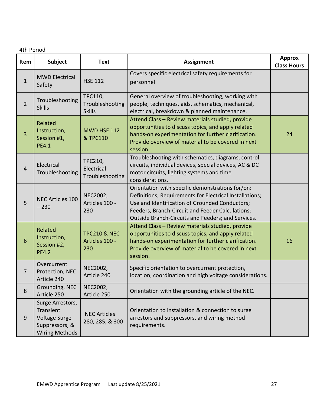| Item           | <b>Subject</b>                                                                                   | <b>Text</b>                                      | <b>Assignment</b>                                                                                                                                                                                                                                                       | <b>Approx</b><br><b>Class Hours</b> |
|----------------|--------------------------------------------------------------------------------------------------|--------------------------------------------------|-------------------------------------------------------------------------------------------------------------------------------------------------------------------------------------------------------------------------------------------------------------------------|-------------------------------------|
| $\mathbf 1$    | <b>MWD Electrical</b><br>Safety                                                                  | <b>HSE 112</b>                                   | Covers specific electrical safety requirements for<br>personnel                                                                                                                                                                                                         |                                     |
| $\overline{2}$ | Troubleshooting<br><b>Skills</b>                                                                 | TPC110,<br>Troubleshooting<br><b>Skills</b>      | General overview of troubleshooting, working with<br>people, techniques, aids, schematics, mechanical,<br>electrical, breakdown & planned maintenance.                                                                                                                  |                                     |
| $\overline{3}$ | Related<br>Instruction,<br>Session #1,<br><b>PE4.1</b>                                           | <b>MWD HSE 112</b><br>& TPC110                   | Attend Class - Review materials studied, provide<br>opportunities to discuss topics, and apply related<br>hands-on experimentation for further clarification.<br>Provide overview of material to be covered in next<br>session.                                         | 24                                  |
| $\overline{4}$ | Electrical<br>Troubleshooting                                                                    | TPC210,<br>Electrical<br>Troubleshooting         | Troubleshooting with schematics, diagrams, control<br>circuits, individual devices, special devices, AC & DC<br>motor circuits, lighting systems and time<br>considerations.                                                                                            |                                     |
| 5              | <b>NEC Articles 100</b><br>$-230$                                                                | NEC2002,<br>Articles 100 -<br>230                | Orientation with specific demonstrations for/on:<br>Definitions; Requirements for Electrical Installations;<br>Use and Identification of Grounded Conductors;<br>Feeders, Branch-Circuit and Feeder Calculations;<br>Outside Branch-Circuits and Feeders; and Services. |                                     |
| $6\phantom{1}$ | Related<br>Instruction,<br>Session #2,<br><b>PE4.2</b>                                           | <b>TPC210 &amp; NEC</b><br>Articles 100 -<br>230 | Attend Class - Review materials studied, provide<br>opportunities to discuss topics, and apply related<br>hands-on experimentation for further clarification.<br>Provide overview of material to be covered in next<br>session.                                         | 16                                  |
| $\overline{7}$ | Overcurrent<br>Protection, NEC<br>Article 240                                                    | NEC2002,<br>Article 240                          | Specific orientation to overcurrent protection,<br>location, coordination and high voltage considerations.                                                                                                                                                              |                                     |
| 8              | Grounding, NEC<br>Article 250                                                                    | NEC2002,<br>Article 250                          | Orientation with the grounding article of the NEC.                                                                                                                                                                                                                      |                                     |
| 9              | Surge Arrestors,<br>Transient<br><b>Voltage Surge</b><br>Suppressors, &<br><b>Wiring Methods</b> | <b>NEC Articles</b><br>280, 285, & 300           | Orientation to installation & connection to surge<br>arrestors and suppressors, and wiring method<br>requirements.                                                                                                                                                      |                                     |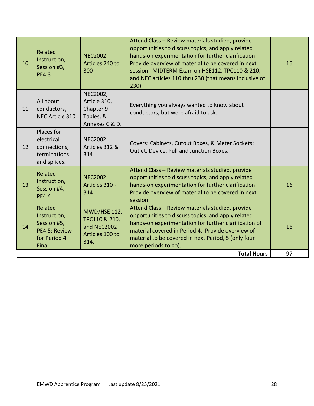| 10 | Related<br>Instruction,<br>Session #3,<br><b>PE4.3</b>                           | <b>NEC2002</b><br>Articles 240 to<br>300                                       | Attend Class - Review materials studied, provide<br>opportunities to discuss topics, and apply related<br>hands-on experimentation for further clarification.<br>Provide overview of material to be covered in next<br>session. MIDTERM Exam on HSE112, TPC110 & 210,<br>and NEC articles 110 thru 230 (that means inclusive of<br>$230$ ). | 16 |
|----|----------------------------------------------------------------------------------|--------------------------------------------------------------------------------|---------------------------------------------------------------------------------------------------------------------------------------------------------------------------------------------------------------------------------------------------------------------------------------------------------------------------------------------|----|
| 11 | All about<br>conductors,<br>NEC Article 310                                      | NEC2002,<br>Article 310,<br>Chapter 9<br>Tables, &<br>Annexes C & D.           | Everything you always wanted to know about<br>conductors, but were afraid to ask.                                                                                                                                                                                                                                                           |    |
| 12 | Places for<br>electrical<br>connections,<br>terminations<br>and splices.         | <b>NEC2002</b><br>Articles 312 &<br>314                                        | Covers: Cabinets, Cutout Boxes, & Meter Sockets;<br>Outlet, Device, Pull and Junction Boxes.                                                                                                                                                                                                                                                |    |
| 13 | Related<br>Instruction,<br>Session #4,<br><b>PE4.4</b>                           | <b>NEC2002</b><br>Articles 310 -<br>314                                        | Attend Class - Review materials studied, provide<br>opportunities to discuss topics, and apply related<br>hands-on experimentation for further clarification.<br>Provide overview of material to be covered in next<br>session.                                                                                                             | 16 |
| 14 | Related<br>Instruction,<br>Session #5,<br>PE4.5; Review<br>for Period 4<br>Final | <b>MWD/HSE 112,</b><br>TPC110 & 210,<br>and NEC2002<br>Articles 100 to<br>314. | Attend Class - Review materials studied, provide<br>opportunities to discuss topics, and apply related<br>hands-on experimentation for further clarification of<br>material covered in Period 4. Provide overview of<br>material to be covered in next Period, 5 (only four<br>more periods to go).                                         | 16 |
|    |                                                                                  |                                                                                | <b>Total Hours</b>                                                                                                                                                                                                                                                                                                                          | 97 |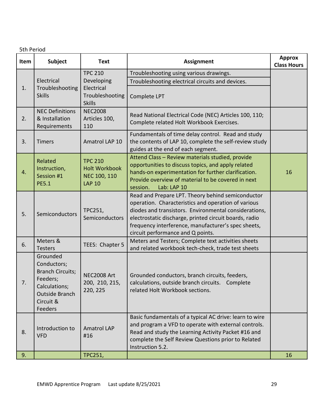| Item | <b>Subject</b>                                                                                                                   | <b>Text</b>                                                             | <b>Assignment</b>                                                                                                                                                                                                                                                                                                       | <b>Approx</b><br><b>Class Hours</b> |
|------|----------------------------------------------------------------------------------------------------------------------------------|-------------------------------------------------------------------------|-------------------------------------------------------------------------------------------------------------------------------------------------------------------------------------------------------------------------------------------------------------------------------------------------------------------------|-------------------------------------|
| 1.   | Electrical<br>Troubleshooting<br><b>Skills</b>                                                                                   | <b>TPC 210</b><br>Developing<br>Electrical<br>Troubleshooting           | Troubleshooting using various drawings.<br>Troubleshooting electrical circuits and devices.<br>Complete LPT                                                                                                                                                                                                             |                                     |
| 2.   | <b>NEC Definitions</b><br>& Installation<br>Requirements                                                                         | <b>Skills</b><br><b>NEC2008</b><br>Articles 100,<br>110                 | Read National Electrical Code (NEC) Articles 100, 110;<br>Complete related Holt Workbook Exercises.                                                                                                                                                                                                                     |                                     |
| 3.   | <b>Timers</b>                                                                                                                    | Amatrol LAP 10                                                          | Fundamentals of time delay control. Read and study<br>the contents of LAP 10, complete the self-review study<br>guides at the end of each segment.                                                                                                                                                                      |                                     |
| 4.   | Related<br>Instruction,<br>Session #1<br><b>PE5.1</b>                                                                            | <b>TPC 210</b><br><b>Holt Workbook</b><br>NEC 100, 110<br><b>LAP 10</b> | Attend Class - Review materials studied, provide<br>opportunities to discuss topics, and apply related<br>hands-on experimentation for further clarification.<br>Provide overview of material to be covered in next<br>Lab: LAP 10<br>session.                                                                          | 16                                  |
| 5.   | Semiconductors                                                                                                                   | <b>TPC251,</b><br>Semiconductors                                        | Read and Prepare LPT. Theory behind semiconductor<br>operation. Characteristics and operation of various<br>diodes and transistors. Environmental considerations,<br>electrostatic discharge, printed circuit boards, radio<br>frequency interference, manufacturer's spec sheets,<br>circuit performance and Q points. |                                     |
| 6.   | Meters &<br><b>Testers</b>                                                                                                       | TEES: Chapter 5                                                         | Meters and Testers; Complete text activities sheets<br>and related workbook tech-check, trade test sheets                                                                                                                                                                                                               |                                     |
| 7.   | Grounded<br>Conductors;<br><b>Branch Circuits;</b><br>Feeders;<br>Calculations;<br><b>Outside Branch</b><br>Circuit &<br>Feeders | <b>NEC2008 Art</b><br>200, 210, 215,<br>220, 225                        | Grounded conductors, branch circuits, feeders,<br>calculations, outside branch circuits. Complete<br>related Holt Workbook sections.                                                                                                                                                                                    |                                     |
| 8.   | Introduction to<br><b>VFD</b>                                                                                                    | <b>Amatrol LAP</b><br>#16                                               | Basic fundamentals of a typical AC drive: learn to wire<br>and program a VFD to operate with external controls.<br>Read and study the Learning Activity Packet #16 and<br>complete the Self Review Questions prior to Related<br>Instruction 5.2.                                                                       |                                     |
| 9.   |                                                                                                                                  | <b>TPC251,</b>                                                          |                                                                                                                                                                                                                                                                                                                         | 16                                  |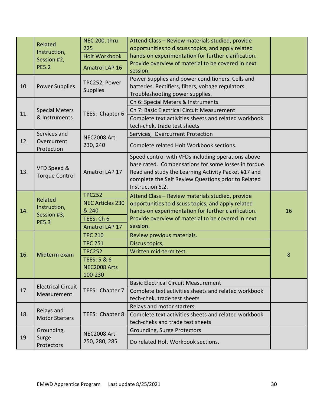|     | Related                                     | NEC 200, thru<br>225                   | Attend Class - Review materials studied, provide<br>opportunities to discuss topics, and apply related                                                                                                                                       |    |
|-----|---------------------------------------------|----------------------------------------|----------------------------------------------------------------------------------------------------------------------------------------------------------------------------------------------------------------------------------------------|----|
|     | Instruction,                                | <b>Holt Workbook</b>                   | hands-on experimentation for further clarification.                                                                                                                                                                                          |    |
|     | Session #2,<br><b>PE5.2</b>                 | <b>Amatrol LAP 16</b>                  | Provide overview of material to be covered in next<br>session.                                                                                                                                                                               |    |
| 10. | <b>Power Supplies</b>                       | TPC252, Power<br><b>Supplies</b>       | Power Supplies and power conditioners. Cells and<br>batteries. Rectifiers, filters, voltage regulators.<br>Troubleshooting power supplies.                                                                                                   |    |
|     |                                             |                                        | Ch 6: Special Meters & Instruments                                                                                                                                                                                                           |    |
| 11. | <b>Special Meters</b><br>& Instruments      | TEES: Chapter 6                        | Ch 7: Basic Electrical Circuit Measurement<br>Complete text activities sheets and related workbook<br>tech-chek, trade test sheets                                                                                                           |    |
|     | Services and                                | <b>NEC2008 Art</b>                     | Services, Overcurrent Protection                                                                                                                                                                                                             |    |
| 12. | Overcurrent<br>Protection                   | 230, 240                               | Complete related Holt Workbook sections.                                                                                                                                                                                                     |    |
| 13. | VFD Speed &<br><b>Torque Control</b>        | Amatrol LAP 17                         | Speed control with VFDs including operations above<br>base rated. Compensations for some losses in torque.<br>Read and study the Learning Activity Packet #17 and<br>complete the Self Review Questions prior to Related<br>Instruction 5.2. |    |
|     | Related                                     | <b>TPC252</b>                          | Attend Class - Review materials studied, provide                                                                                                                                                                                             |    |
|     | Instruction,<br>Session #3,<br><b>PE5.3</b> | <b>NEC Articles 230</b>                | opportunities to discuss topics, and apply related                                                                                                                                                                                           |    |
| 14. |                                             | & 240                                  | hands-on experimentation for further clarification.                                                                                                                                                                                          | 16 |
|     |                                             | TEES: Ch 6                             | Provide overview of material to be covered in next                                                                                                                                                                                           |    |
|     |                                             | <b>Amatrol LAP 17</b>                  | session.                                                                                                                                                                                                                                     |    |
|     |                                             | <b>TPC 210</b>                         | Review previous materials.                                                                                                                                                                                                                   |    |
|     |                                             | <b>TPC 251</b>                         | Discus topics,                                                                                                                                                                                                                               |    |
| 16. | Midterm exam                                | <b>TPC252</b>                          | Written mid-term test.                                                                                                                                                                                                                       | 8  |
|     |                                             | TEES: 5 & 6<br>NEC2008 Arts<br>100-230 |                                                                                                                                                                                                                                              |    |
|     |                                             |                                        | <b>Basic Electrical Circuit Measurement</b>                                                                                                                                                                                                  |    |
| 17. | <b>Electrical Circuit</b>                   | TEES: Chapter 7                        | Complete text activities sheets and related workbook                                                                                                                                                                                         |    |
|     | Measurement                                 |                                        | tech-chek, trade test sheets                                                                                                                                                                                                                 |    |
|     |                                             |                                        | Relays and motor starters.                                                                                                                                                                                                                   |    |
| 18. | Relays and<br><b>Motor Starters</b>         | TEES: Chapter 8                        | Complete text activities sheets and related workbook                                                                                                                                                                                         |    |
|     |                                             |                                        | tech-cheks and trade test sheets                                                                                                                                                                                                             |    |
|     | Grounding,                                  | <b>NEC2008 Art</b>                     | Grounding, Surge Protectors                                                                                                                                                                                                                  |    |
| 19. | Surge<br>Protectors                         | 250, 280, 285                          | Do related Holt Workbook sections.                                                                                                                                                                                                           |    |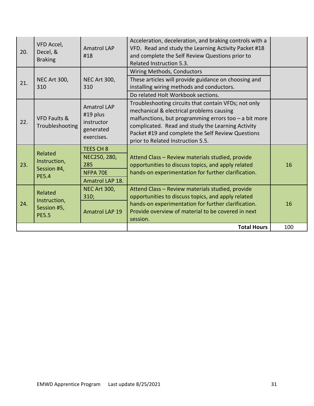| 20. | VFD Accel,<br>Decel, &<br><b>Braking</b>               | <b>Amatrol LAP</b><br>#18                                               | Acceleration, deceleration, and braking controls with a<br>VFD. Read and study the Learning Activity Packet #18<br>and complete the Self Review Questions prior to<br>Related Instruction 5.3.                                                                                                             |     |
|-----|--------------------------------------------------------|-------------------------------------------------------------------------|------------------------------------------------------------------------------------------------------------------------------------------------------------------------------------------------------------------------------------------------------------------------------------------------------------|-----|
| 21. | <b>NEC Art 300,</b><br>310                             | <b>NEC Art 300,</b><br>310                                              | Wiring Methods, Conductors<br>These articles will provide guidance on choosing and<br>installing wiring methods and conductors.<br>Do related Holt Workbook sections.                                                                                                                                      |     |
| 22. | <b>VFD Faults &amp;</b><br>Troubleshooting             | <b>Amatrol LAP</b><br>#19 plus<br>instructor<br>generated<br>exercises. | Troubleshooting circuits that contain VFDs; not only<br>mechanical & electrical problems causing<br>malfunctions, but programming errors too $-$ a bit more<br>complicated. Read and study the Learning Activity<br>Packet #19 and complete the Self Review Questions<br>prior to Related Instruction 5.5. |     |
| 23. | Related<br>Instruction,<br>Session #4,<br><b>PE5.4</b> | TEES CH 8<br>NEC250, 280,<br>285<br>NFPA 70E<br>Amatrol LAP 18.         | Attend Class - Review materials studied, provide<br>opportunities to discuss topics, and apply related<br>hands-on experimentation for further clarification.                                                                                                                                              | 16  |
| 24. | Related<br>Instruction,<br>Session #5,<br><b>PE5.5</b> | <b>NEC Art 300,</b><br>310;<br><b>Amatrol LAP 19</b>                    | Attend Class - Review materials studied, provide<br>opportunities to discuss topics, and apply related<br>hands-on experimentation for further clarification.<br>Provide overview of material to be covered in next<br>session.                                                                            | 16  |
|     |                                                        |                                                                         | <b>Total Hours</b>                                                                                                                                                                                                                                                                                         | 100 |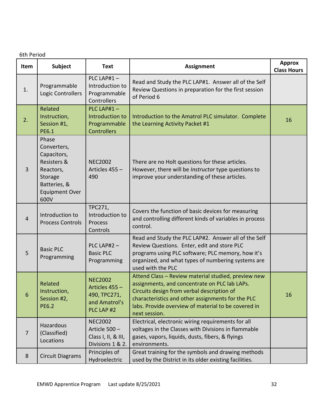| Item           | <b>Subject</b>                                                                                                              | <b>Text</b>                                                                          | <b>Assignment</b>                                                                                                                                                                                                                                                               | <b>Approx</b><br><b>Class Hours</b> |
|----------------|-----------------------------------------------------------------------------------------------------------------------------|--------------------------------------------------------------------------------------|---------------------------------------------------------------------------------------------------------------------------------------------------------------------------------------------------------------------------------------------------------------------------------|-------------------------------------|
| 1.             | Programmable<br>Logic Controllers                                                                                           | PLC LAP#1 $-$<br>Introduction to<br>Programmable<br>Controllers                      | Read and Study the PLC LAP#1. Answer all of the Self<br>Review Questions in preparation for the first session<br>of Period 6                                                                                                                                                    |                                     |
| 2.             | Related<br>Instruction,<br>Session #1,<br><b>PE6.1</b>                                                                      | PLC LAP#1 $-$<br>Introduction to<br>Programmable<br><b>Controllers</b>               | Introduction to the Amatrol PLC simulator. Complete<br>the Learning Activity Packet #1                                                                                                                                                                                          | 16                                  |
| 3              | Phase<br>Converters,<br>Capacitors,<br>Resisters &<br>Reactors,<br>Storage<br>Batteries, &<br><b>Equipment Over</b><br>600V | <b>NEC2002</b><br>Articles 455 -<br>490                                              | There are no Holt questions for these articles.<br>However, there will be Instructor type questions to<br>improve your understanding of these articles.                                                                                                                         |                                     |
| $\overline{4}$ | Introduction to<br><b>Process Controls</b>                                                                                  | TPC271,<br>Introduction to<br>Process<br>Controls                                    | Covers the function of basic devices for measuring<br>and controlling different kinds of variables in process<br>control.                                                                                                                                                       |                                     |
| 5              | <b>Basic PLC</b><br>Programming                                                                                             | PLC LAP#2 $-$<br><b>Basic PLC</b><br>Programming                                     | Read and Study the PLC LAP#2. Answer all of the Self<br>Review Questions. Enter, edit and store PLC<br>programs using PLC software; PLC memory, how it's<br>organized, and what types of numbering systems are<br>used with the PLC                                             |                                     |
| 6              | Related<br>Instruction,<br>Session #2,<br><b>PE6.2</b>                                                                      | <b>NEC2002</b><br><b>Articles 455</b><br>490, TPC271,<br>and Amatrol's<br>PLC LAP #2 | Attend Class - Review material studied, preview new<br>assignments, and concentrate on PLC lab LAPs.<br>Circuits design from verbal description of<br>characteristics and other assignments for the PLC<br>labs. Provide overview of material to be covered in<br>next session. | 16                                  |
| 7              | Hazardous<br>(Classified)<br>Locations                                                                                      | <b>NEC2002</b><br>Article 500 -<br>Class I, II, & III,<br>Divisions 1 & 2.           | Electrical, electronic wiring requirements for all<br>voltages in the Classes with Divisions in flammable<br>gases, vapors, liquids, dusts, fibers, & flyings<br>environments.                                                                                                  |                                     |
| 8              | <b>Circuit Diagrams</b>                                                                                                     | Principles of<br>Hydroelectric                                                       | Great training for the symbols and drawing methods<br>used by the District in its older existing facilities.                                                                                                                                                                    |                                     |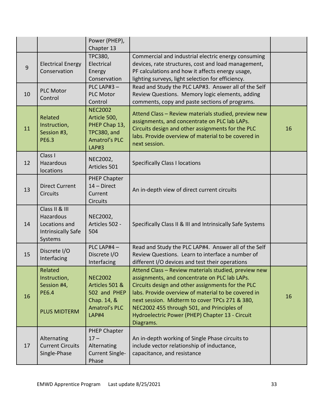|    |                                                                                             | Power (PHEP),<br>Chapter 13                                                                             |                                                                                                                                                                                                                                                                                                                                                                                   |    |
|----|---------------------------------------------------------------------------------------------|---------------------------------------------------------------------------------------------------------|-----------------------------------------------------------------------------------------------------------------------------------------------------------------------------------------------------------------------------------------------------------------------------------------------------------------------------------------------------------------------------------|----|
| 9  | <b>Electrical Energy</b><br>Conservation                                                    | <b>TPC380,</b><br>Electrical<br>Energy<br>Conservation                                                  | Commercial and industrial electric energy consuming<br>devices, rate structures, cost and load management,<br>PF calculations and how it affects energy usage,<br>lighting surveys, light selection for efficiency.                                                                                                                                                               |    |
| 10 | <b>PLC Motor</b><br>Control                                                                 | PLC LAP#3 $-$<br><b>PLC Motor</b><br>Control                                                            | Read and Study the PLC LAP#3. Answer all of the Self<br>Review Questions. Memory logic elements, adding<br>comments, copy and paste sections of programs.                                                                                                                                                                                                                         |    |
| 11 | Related<br>Instruction,<br>Session #3,<br><b>PE6.3</b>                                      | <b>NEC2002</b><br>Article 500,<br>PHEP Chap 13,<br>TPC380, and<br><b>Amatrol's PLC</b><br><b>LAP#3</b>  | Attend Class - Review materials studied, preview new<br>assignments, and concentrate on PLC lab LAPs.<br>Circuits design and other assignments for the PLC<br>labs. Provide overview of material to be covered in<br>next session.                                                                                                                                                | 16 |
| 12 | Class I<br><b>Hazardous</b><br>locations                                                    | NEC2002,<br>Articles 501                                                                                | <b>Specifically Class I locations</b>                                                                                                                                                                                                                                                                                                                                             |    |
| 13 | <b>Direct Current</b><br><b>Circuits</b>                                                    | <b>PHEP Chapter</b><br>$14 - Direct$<br>Current<br><b>Circuits</b>                                      | An in-depth view of direct current circuits                                                                                                                                                                                                                                                                                                                                       |    |
| 14 | Class II & III<br><b>Hazardous</b><br>Locations and<br><b>Intrinsically Safe</b><br>Systems | NEC2002,<br>Articles 502 -<br>504                                                                       | Specifically Class II & III and Intrinsically Safe Systems                                                                                                                                                                                                                                                                                                                        |    |
| 15 | Discrete I/O<br>Interfacing                                                                 | PLC LAP#4 $-$<br>Discrete I/O<br>Interfacing                                                            | Read and Study the PLC LAP#4. Answer all of the Self<br>Review Questions. Learn to interface a number of<br>different I/O devices and test their operations                                                                                                                                                                                                                       |    |
| 16 | Related<br>Instruction,<br>Session #4,<br><b>PE6.4</b><br><b>PLUS MIDTERM</b>               | <b>NEC2002</b><br>Articles 501 &<br>502 and PHEP<br>Chap. 14, &<br><b>Amatrol's PLC</b><br><b>LAP#4</b> | Attend Class - Review materials studied, preview new<br>assignments, and concentrate on PLC lab LAPs.<br>Circuits design and other assignments for the PLC<br>labs. Provide overview of material to be covered in<br>next session. Midterm to cover TPCs 271 & 380,<br>NEC2002 455 through 501, and Principles of<br>Hydroelectric Power (PHEP) Chapter 13 - Circuit<br>Diagrams. | 16 |
| 17 | Alternating<br><b>Current Circuits</b><br>Single-Phase                                      | <b>PHEP Chapter</b><br>$17 -$<br>Alternating<br><b>Current Single-</b><br>Phase                         | An in-depth working of Single Phase circuits to<br>include vector relationship of inductance,<br>capacitance, and resistance                                                                                                                                                                                                                                                      |    |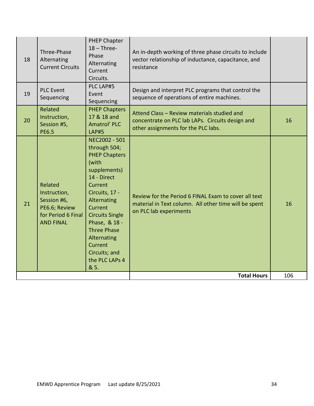| PLC LAP#5<br><b>PLC Event</b><br>Design and interpret PLC programs that control the<br>19<br>Event<br>sequence of operations of entire machines.<br>Sequencing<br>Sequencing<br>Related<br><b>PHEP Chapters</b><br>Attend Class - Review materials studied and<br>17 & 18 and<br>Instruction,<br>20<br>concentrate on PLC lab LAPs. Circuits design and<br>16<br>Session #5,<br>Amatrol' PLC<br>other assignments for the PLC labs.<br><b>PE6.5</b><br><b>LAP#5</b><br>NEC2002 - 501<br>through 504;<br><b>PHEP Chapters</b><br>(with<br>supplements)<br>14 - Direct<br>Related<br>Current<br>Instruction,<br>Circuits, 17 -<br>Review for the Period 6 FINAL Exam to cover all text<br>Session #6,<br>Alternating<br>21<br>material in Text column. All other time will be spent<br>16<br>PE6.6; Review<br>Current<br>on PLC lab experiments<br>for Period 6 Final<br><b>Circuits Single</b><br><b>AND FINAL</b><br>Phase, & 18 -<br><b>Three Phase</b><br>Alternating<br>Current<br>Circuits; and<br>the PLC LAPs 4<br>& 5.<br><b>Total Hours</b><br>106 | 18 | Three-Phase<br>Alternating<br><b>Current Circuits</b> | <b>PHEP Chapter</b><br>$18 - Three-$<br>Phase<br>Alternating<br>Current<br>Circuits. | An in-depth working of three phase circuits to include<br>vector relationship of inductance, capacitance, and<br>resistance |  |
|------------------------------------------------------------------------------------------------------------------------------------------------------------------------------------------------------------------------------------------------------------------------------------------------------------------------------------------------------------------------------------------------------------------------------------------------------------------------------------------------------------------------------------------------------------------------------------------------------------------------------------------------------------------------------------------------------------------------------------------------------------------------------------------------------------------------------------------------------------------------------------------------------------------------------------------------------------------------------------------------------------------------------------------------------------|----|-------------------------------------------------------|--------------------------------------------------------------------------------------|-----------------------------------------------------------------------------------------------------------------------------|--|
|                                                                                                                                                                                                                                                                                                                                                                                                                                                                                                                                                                                                                                                                                                                                                                                                                                                                                                                                                                                                                                                            |    |                                                       |                                                                                      |                                                                                                                             |  |
|                                                                                                                                                                                                                                                                                                                                                                                                                                                                                                                                                                                                                                                                                                                                                                                                                                                                                                                                                                                                                                                            |    |                                                       |                                                                                      |                                                                                                                             |  |
|                                                                                                                                                                                                                                                                                                                                                                                                                                                                                                                                                                                                                                                                                                                                                                                                                                                                                                                                                                                                                                                            |    |                                                       |                                                                                      |                                                                                                                             |  |
|                                                                                                                                                                                                                                                                                                                                                                                                                                                                                                                                                                                                                                                                                                                                                                                                                                                                                                                                                                                                                                                            |    |                                                       |                                                                                      |                                                                                                                             |  |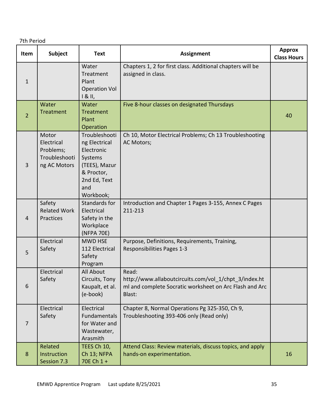| Item           | <b>Subject</b>                                                    | <b>Text</b>                                                                                                                | <b>Assignment</b>                                                                                                                   | <b>Approx</b><br><b>Class Hours</b> |
|----------------|-------------------------------------------------------------------|----------------------------------------------------------------------------------------------------------------------------|-------------------------------------------------------------------------------------------------------------------------------------|-------------------------------------|
| 1              |                                                                   | Water<br>Treatment<br>Plant<br><b>Operation Vol</b><br>181,                                                                | Chapters 1, 2 for first class. Additional chapters will be<br>assigned in class.                                                    |                                     |
| $\overline{2}$ | Water<br><b>Treatment</b>                                         | Water<br>Treatment<br>Plant<br>Operation                                                                                   | Five 8-hour classes on designated Thursdays                                                                                         | 40                                  |
| 3              | Motor<br>Electrical<br>Problems;<br>Troubleshooti<br>ng AC Motors | Troubleshooti<br>ng Electrical<br>Electronic<br>Systems<br>(TEES), Mazur<br>& Proctor,<br>2nd Ed, Text<br>and<br>Workbook; | Ch 10, Motor Electrical Problems; Ch 13 Troubleshooting<br>AC Motors;                                                               |                                     |
| 4              | Safety<br><b>Related Work</b><br>Practices                        | Standards for<br>Electrical<br>Safety in the<br>Workplace<br>(NFPA 70E)                                                    | Introduction and Chapter 1 Pages 3-155, Annex C Pages<br>211-213                                                                    |                                     |
| 5              | Electrical<br>Safety                                              | <b>MWD HSE</b><br>112 Electrical<br>Safety<br>Program                                                                      | Purpose, Definitions, Requirements, Training,<br><b>Responsibilities Pages 1-3</b>                                                  |                                     |
| 6              | Electrical<br>Safety                                              | All About<br>Circuits, Tony<br>Kaupalt, et al.<br>(e-book)                                                                 | Read:<br>http://www.allaboutcircuits.com/vol 1/chpt 3/index.ht<br>ml and complete Socratic worksheet on Arc Flash and Arc<br>Blast: |                                     |
| 7              | Electrical<br>Safety                                              | Electrical<br>Fundamentals<br>for Water and<br>Wastewater,<br>Arasmith                                                     | Chapter 8, Normal Operations Pg 325-350, Ch 9,<br>Troubleshooting 393-406 only (Read only)                                          |                                     |
| 8              | Related<br>Instruction<br>Session 7.3                             | TEES Ch 10,<br>Ch 13; NFPA<br>70E Ch 1 +                                                                                   | Attend Class: Review materials, discuss topics, and apply<br>hands-on experimentation.                                              | 16                                  |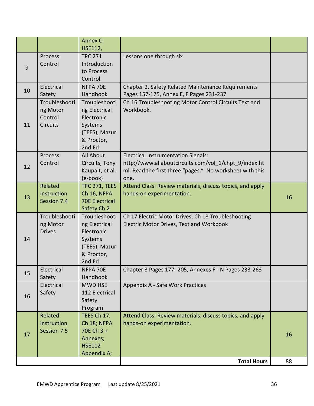|    |                                                         | Annex C;<br><b>HSE112,</b>                                                                       |                                                                                                                                                                         |    |
|----|---------------------------------------------------------|--------------------------------------------------------------------------------------------------|-------------------------------------------------------------------------------------------------------------------------------------------------------------------------|----|
| 9  | Process<br>Control                                      | <b>TPC 271</b><br>Introduction<br>to Process<br>Control                                          | Lessons one through six                                                                                                                                                 |    |
| 10 | Electrical<br>Safety                                    | NFPA 70E<br>Handbook                                                                             | Chapter 2, Safety Related Maintenance Requirements<br>Pages 157-175, Annex E, F Pages 231-237                                                                           |    |
| 11 | Troubleshooti<br>ng Motor<br>Control<br><b>Circuits</b> | Troubleshooti<br>ng Electrical<br>Electronic<br>Systems<br>(TEES), Mazur<br>& Proctor,<br>2nd Ed | Ch 16 Troubleshooting Motor Control Circuits Text and<br>Workbook.                                                                                                      |    |
| 12 | Process<br>Control                                      | All About<br>Circuits, Tony<br>Kaupalt, et al.<br>(e-book)                                       | <b>Electrical Instrumentation Signals:</b><br>http://www.allaboutcircuits.com/vol 1/chpt 9/index.ht<br>ml. Read the first three "pages." No worksheet with this<br>one. |    |
| 13 | Related<br>Instruction<br>Session 7.4                   | TPC 271, TEES<br>Ch 16, NFPA<br><b>70E Electrical</b><br>Safety Ch 2                             | Attend Class: Review materials, discuss topics, and apply<br>hands-on experimentation.                                                                                  | 16 |
| 14 | Troubleshooti<br>ng Motor<br><b>Drives</b>              | Troubleshooti<br>ng Electrical<br>Electronic<br>Systems<br>(TEES), Mazur<br>& Proctor,<br>2nd Ed | Ch 17 Electric Motor Drives; Ch 18 Troubleshooting<br><b>Electric Motor Drives, Text and Workbook</b>                                                                   |    |
| 15 | Electrical<br>Safety                                    | NFPA 70E<br>Handbook                                                                             | Chapter 3 Pages 177-205, Annexes F - N Pages 233-263                                                                                                                    |    |
| 16 | Electrical<br>Safety                                    | <b>MWD HSE</b><br>112 Electrical<br>Safety<br>Program                                            | Appendix A - Safe Work Practices                                                                                                                                        |    |
| 17 | Related<br>Instruction<br>Session 7.5                   | TEES Ch 17,<br>Ch 18; NFPA<br>70E Ch 3 +<br>Annexes;<br><b>HSE112</b><br>Appendix A;             | Attend Class: Review materials, discuss topics, and apply<br>hands-on experimentation.                                                                                  | 16 |
|    |                                                         |                                                                                                  | <b>Total Hours</b>                                                                                                                                                      | 88 |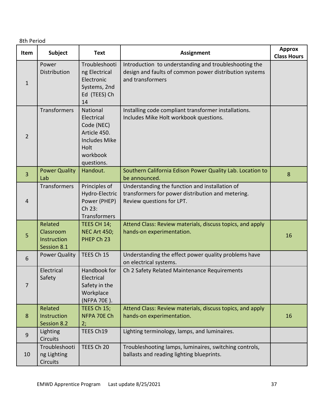| Item           | <b>Subject</b>                                     | <b>Text</b>                                                                                                           | <b>Assignment</b>                                                                                                                   | <b>Approx</b><br><b>Class Hours</b> |
|----------------|----------------------------------------------------|-----------------------------------------------------------------------------------------------------------------------|-------------------------------------------------------------------------------------------------------------------------------------|-------------------------------------|
| 1              | Power<br>Distribution                              | Troubleshooti<br>ng Electrical<br>Electronic<br>Systems, 2nd<br>Ed (TEES) Ch<br>14                                    | Introduction to understanding and troubleshooting the<br>design and faults of common power distribution systems<br>and transformers |                                     |
| $\overline{2}$ | Transformers                                       | National<br>Electrical<br>Code (NEC)<br>Article 450.<br><b>Includes Mike</b><br><b>Holt</b><br>workbook<br>questions. | Installing code compliant transformer installations.<br>Includes Mike Holt workbook questions.                                      |                                     |
| 3              | <b>Power Quality</b><br>Lab                        | Handout.                                                                                                              | Southern California Edison Power Quality Lab. Location to<br>be announced.                                                          | 8                                   |
| $\overline{4}$ | Transformers                                       | Principles of<br>Hydro-Electric<br>Power (PHEP)<br>Ch 23:<br><b>Transformers</b>                                      | Understanding the function and installation of<br>transformers for power distribution and metering.<br>Review questions for LPT.    |                                     |
| 5              | Related<br>Classroom<br>Instruction<br>Session 8.1 | TEES CH 14;<br><b>NEC Art 450;</b><br>PHEP Ch 23                                                                      | Attend Class: Review materials, discuss topics, and apply<br>hands-on experimentation.                                              | 16                                  |
| 6              | <b>Power Quality</b>                               | TEES Ch 15                                                                                                            | Understanding the effect power quality problems have<br>on electrical systems.                                                      |                                     |
| 7              | Electrical<br>Safety                               | Handbook for<br>Electrical<br>Safety in the<br>Workplace<br>(NFPA 70E).                                               | Ch 2 Safety Related Maintenance Requirements                                                                                        |                                     |
| 8              | Related<br>Instruction<br>Session 8.2              | TEES Ch 15;<br>NFPA 70E Ch<br>2;                                                                                      | Attend Class: Review materials, discuss topics, and apply<br>hands-on experimentation.                                              | 16                                  |
| 9              | Lighting<br><b>Circuits</b>                        | TEES Ch19                                                                                                             | Lighting terminology, lamps, and luminaires.                                                                                        |                                     |
| 10             | Troubleshooti<br>ng Lighting<br>Circuits           | TEES Ch 20                                                                                                            | Troubleshooting lamps, luminaires, switching controls,<br>ballasts and reading lighting blueprints.                                 |                                     |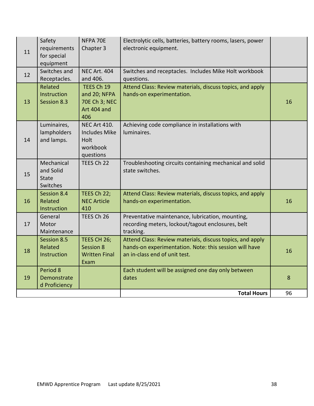| 11 | Safety<br>requirements<br>for special<br>equipment  | NFPA 70E<br>Chapter 3                                                        | Electrolytic cells, batteries, battery rooms, lasers, power<br>electronic equipment.                                                                 |    |
|----|-----------------------------------------------------|------------------------------------------------------------------------------|------------------------------------------------------------------------------------------------------------------------------------------------------|----|
| 12 | Switches and<br>Receptacles.                        | <b>NEC Art. 404</b><br>and 406.                                              | Switches and receptacles. Includes Mike Holt workbook<br>questions.                                                                                  |    |
| 13 | Related<br>Instruction<br>Session 8.3               | TEES Ch 19<br>and 20; NFPA<br>70E Ch 3; NEC<br>Art 404 and<br>406            | Attend Class: Review materials, discuss topics, and apply<br>hands-on experimentation.                                                               | 16 |
| 14 | Luminaires,<br>lampholders<br>and lamps.            | <b>NEC Art 410.</b><br><b>Includes Mike</b><br>Holt<br>workbook<br>questions | Achieving code compliance in installations with<br>luminaires.                                                                                       |    |
| 15 | Mechanical<br>and Solid<br><b>State</b><br>Switches | TEES Ch 22                                                                   | Troubleshooting circuits containing mechanical and solid<br>state switches.                                                                          |    |
| 16 | Session 8.4<br>Related<br>Instruction               | TEES Ch 22;<br><b>NEC Article</b><br>410                                     | Attend Class: Review materials, discuss topics, and apply<br>hands-on experimentation.                                                               | 16 |
| 17 | General<br>Motor<br>Maintenance                     | TEES Ch 26                                                                   | Preventative maintenance, lubrication, mounting,<br>recording meters, lockout/tagout enclosures, belt<br>tracking.                                   |    |
| 18 | Session 8.5<br>Related<br>Instruction               | TEES CH 26;<br>Session 8<br><b>Written Final</b><br>Exam                     | Attend Class: Review materials, discuss topics, and apply<br>hands-on experimentation. Note: this session will have<br>an in-class end of unit test. | 16 |
| 19 | Period 8<br>Demonstrate<br>d Proficiency            |                                                                              | Each student will be assigned one day only between<br>dates                                                                                          | 8  |
|    |                                                     |                                                                              | <b>Total Hours</b>                                                                                                                                   | 96 |